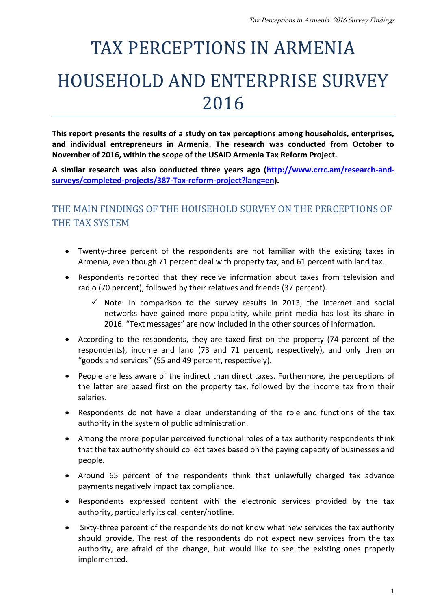# TAX PERCEPTIONS IN ARMENIA HOUSEHOLD AND ENTERPRISE SURVEY 2016

**This report presents the results of a study on tax perceptions among households, enterprises, and individual entrepreneurs in Armenia. The research was conducted from October to November of 2016, within the scope of the USAID Armenia Tax Reform Project.**

**A similar research was also conducted three years ago [\(http://www.crrc.am/research-and](http://www.crrc.am/research-and-surveys/completed-projects/387-Tax-reform-project?lang=en)[surveys/completed-projects/387-Tax-reform-project?lang=en\)](http://www.crrc.am/research-and-surveys/completed-projects/387-Tax-reform-project?lang=en).**

# THE MAIN FINDINGS OF THE HOUSEHOLD SURVEY ON THE PERCEPTIONS OF THE TAX SYSTEM

- Twenty-three percent of the respondents are not familiar with the existing taxes in Armenia, even though 71 percent deal with property tax, and 61 percent with land tax.
- Respondents reported that they receive information about taxes from television and radio (70 percent), followed by their relatives and friends (37 percent).
	- $\checkmark$  Note: In comparison to the survey results in 2013, the internet and social networks have gained more popularity, while print media has lost its share in 2016. "Text messages" are now included in the other sources of information.
- According to the respondents, they are taxed first on the property (74 percent of the respondents), income and land (73 and 71 percent, respectively), and only then on "goods and services" (55 and 49 percent, respectively).
- People are less aware of the indirect than direct taxes. Furthermore, the perceptions of the latter are based first on the property tax, followed by the income tax from their salaries.
- Respondents do not have a clear understanding of the role and functions of the tax authority in the system of public administration.
- Among the more popular perceived functional roles of a tax authority respondents think that the tax authority should collect taxes based on the paying capacity of businesses and people.
- Around 65 percent of the respondents think that unlawfully charged tax advance payments negatively impact tax compliance.
- Respondents expressed content with the electronic services provided by the tax authority, particularly its call center/hotline.
- Sixty-three percent of the respondents do not know what new services the tax authority should provide. The rest of the respondents do not expect new services from the tax authority, are afraid of the change, but would like to see the existing ones properly implemented.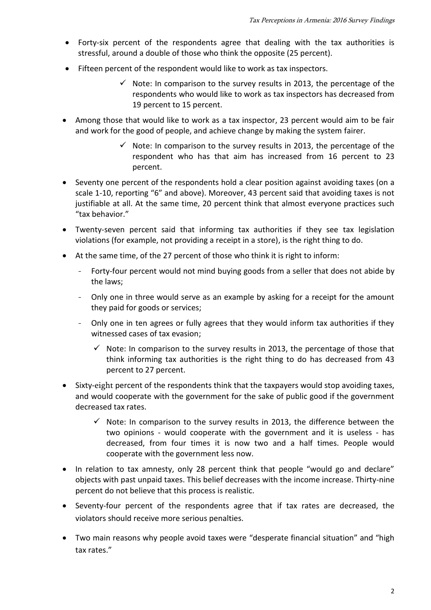- Forty-six percent of the respondents agree that dealing with the tax authorities is stressful, around a double of those who think the opposite (25 percent).
- Fifteen percent of the respondent would like to work as tax inspectors.
	- $\checkmark$  Note: In comparison to the survey results in 2013, the percentage of the respondents who would like to work as tax inspectors has decreased from 19 percent to 15 percent.
- Among those that would like to work as a tax inspector, 23 percent would aim to be fair and work for the good of people, and achieve change by making the system fairer.
	- $\checkmark$  Note: In comparison to the survey results in 2013, the percentage of the respondent who has that aim has increased from 16 percent to 23 percent.
- Seventy one percent of the respondents hold a clear position against avoiding taxes (on a scale 1-10, reporting "6" and above). Moreover, 43 percent said that avoiding taxes is not justifiable at all. At the same time, 20 percent think that almost everyone practices such "tax behavior."
- Twenty-seven percent said that informing tax authorities if they see tax legislation violations (for example, not providing a receipt in a store), is the right thing to do.
- At the same time, of the 27 percent of those who think it is right to inform:
	- Forty-four percent would not mind buying goods from a seller that does not abide by the laws;
	- Only one in three would serve as an example by asking for a receipt for the amount they paid for goods or services;
	- Only one in ten agrees or fully agrees that they would inform tax authorities if they witnessed cases of tax evasion;
		- $\checkmark$  Note: In comparison to the survey results in 2013, the percentage of those that think informing tax authorities is the right thing to do has decreased from 43 percent to 27 percent.
- Sixty-eight percent of the respondents think that the taxpayers would stop avoiding taxes, and would cooperate with the government for the sake of public good if the government decreased tax rates.
	- $\checkmark$  Note: In comparison to the survey results in 2013, the difference between the two opinions - would cooperate with the government and it is useless - has decreased, from four times it is now two and a half times. People would cooperate with the government less now.
- In relation to tax amnesty, only 28 percent think that people "would go and declare" objects with past unpaid taxes. This belief decreases with the income increase. Thirty-nine percent do not believe that this process is realistic.
- Seventy-four percent of the respondents agree that if tax rates are decreased, the violators should receive more serious penalties.
- Two main reasons why people avoid taxes were "desperate financial situation" and "high tax rates."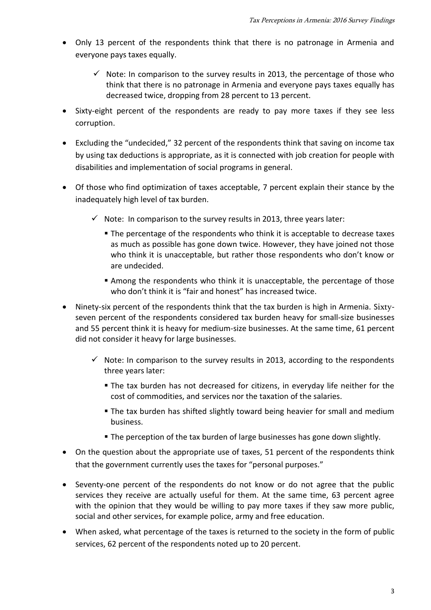- Only 13 percent of the respondents think that there is no patronage in Armenia and everyone pays taxes equally.
	- $\checkmark$  Note: In comparison to the survey results in 2013, the percentage of those who think that there is no patronage in Armenia and everyone pays taxes equally has decreased twice, dropping from 28 percent to 13 percent.
- Sixty-eight percent of the respondents are ready to pay more taxes if they see less corruption.
- Excluding the "undecided," 32 percent of the respondents think that saving on income tax by using tax deductions is appropriate, as it is connected with job creation for people with disabilities and implementation of social programs in general.
- Of those who find optimization of taxes acceptable, 7 percent explain their stance by the inadequately high level of tax burden.
	- $\checkmark$  Note: In comparison to the survey results in 2013, three years later:
		- The percentage of the respondents who think it is acceptable to decrease taxes as much as possible has gone down twice. However, they have joined not those who think it is unacceptable, but rather those respondents who don't know or are undecided.
		- Among the respondents who think it is unacceptable, the percentage of those who don't think it is "fair and honest" has increased twice.
- Ninety-six percent of the respondents think that the tax burden is high in Armenia. Sixtyseven percent of the respondents considered tax burden heavy for small-size businesses and 55 percent think it is heavy for medium-size businesses. At the same time, 61 percent did not consider it heavy for large businesses.
	- $\checkmark$  Note: In comparison to the survey results in 2013, according to the respondents three years later:
		- The tax burden has not decreased for citizens, in everyday life neither for the cost of commodities, and services nor the taxation of the salaries.
		- **The tax burden has shifted slightly toward being heavier for small and medium** business.
		- The perception of the tax burden of large businesses has gone down slightly.
- On the question about the appropriate use of taxes, 51 percent of the respondents think that the government currently uses the taxes for "personal purposes."
- Seventy-one percent of the respondents do not know or do not agree that the public services they receive are actually useful for them. At the same time, 63 percent agree with the opinion that they would be willing to pay more taxes if they saw more public, social and other services, for example police, army and free education.
- When asked, what percentage of the taxes is returned to the society in the form of public services, 62 percent of the respondents noted up to 20 percent.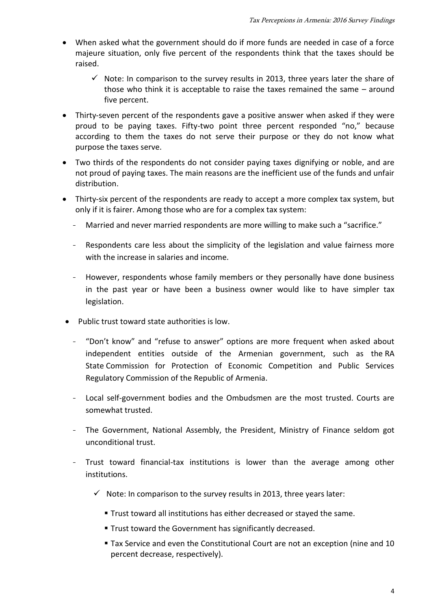- When asked what the government should do if more funds are needed in case of a force majeure situation, only five percent of the respondents think that the taxes should be raised.
	- $\checkmark$  Note: In comparison to the survey results in 2013, three years later the share of those who think it is acceptable to raise the taxes remained the same – around five percent.
- Thirty-seven percent of the respondents gave a positive answer when asked if they were proud to be paying taxes. Fifty-two point three percent responded "no," because according to them the taxes do not serve their purpose or they do not know what purpose the taxes serve.
- Two thirds of the respondents do not consider paying taxes dignifying or noble, and are not proud of paying taxes. The main reasons are the inefficient use of the funds and unfair distribution.
- Thirty-six percent of the respondents are ready to accept a more complex tax system, but only if it is fairer. Among those who are for a complex tax system:
	- Married and never married respondents are more willing to make such a "sacrifice."
	- Respondents care less about the simplicity of the legislation and value fairness more with the increase in salaries and income.
	- However, respondents whose family members or they personally have done business in the past year or have been a business owner would like to have simpler tax legislation.
- Public trust toward state authorities is low.
	- "Don't know" and "refuse to answer" options are more frequent when asked about independent entities outside of the Armenian government, such as the RA State Commission for Protection of Economic Competition and Public Services Regulatory Commission of the Republic of Armenia.
	- Local self-government bodies and the Ombudsmen are the most trusted. Courts are somewhat trusted.
	- The Government, National Assembly, the President, Ministry of Finance seldom got unconditional trust.
	- Trust toward financial-tax institutions is lower than the average among other institutions.
		- $\checkmark$  Note: In comparison to the survey results in 2013, three years later:
			- Trust toward all institutions has either decreased or stayed the same.
			- **Trust toward the Government has significantly decreased.**
			- Tax Service and even the Constitutional Court are not an exception (nine and 10 percent decrease, respectively).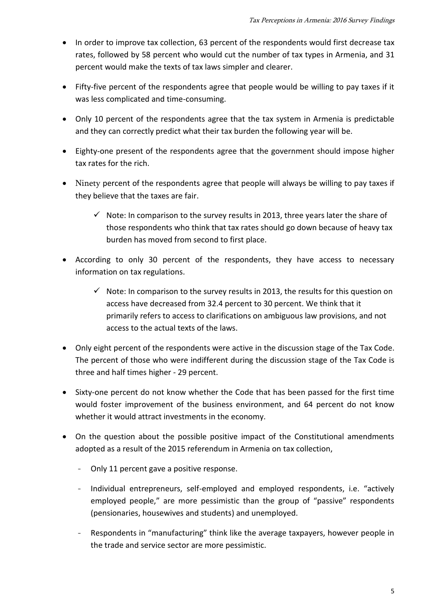- In order to improve tax collection, 63 percent of the respondents would first decrease tax rates, followed by 58 percent who would cut the number of tax types in Armenia, and 31 percent would make the texts of tax laws simpler and clearer.
- Fifty-five percent of the respondents agree that people would be willing to pay taxes if it was less complicated and time-consuming.
- Only 10 percent of the respondents agree that the tax system in Armenia is predictable and they can correctly predict what their tax burden the following year will be.
- Eighty-one present of the respondents agree that the government should impose higher tax rates for the rich.
- Ninety percent of the respondents agree that people will always be willing to pay taxes if they believe that the taxes are fair.
	- $\checkmark$  Note: In comparison to the survey results in 2013, three years later the share of those respondents who think that tax rates should go down because of heavy tax burden has moved from second to first place.
- According to only 30 percent of the respondents, they have access to necessary information on tax regulations.
	- $\checkmark$  Note: In comparison to the survey results in 2013, the results for this question on access have decreased from 32.4 percent to 30 percent. We think that it primarily refers to access to clarifications on ambiguous law provisions, and not access to the actual texts of the laws.
- Only eight percent of the respondents were active in the discussion stage of the Tax Code. The percent of those who were indifferent during the discussion stage of the Tax Code is three and half times higher - 29 percent.
- Sixty-one percent do not know whether the Code that has been passed for the first time would foster improvement of the business environment, and 64 percent do not know whether it would attract investments in the economy.
- On the question about the possible positive impact of the Constitutional amendments adopted as a result of the 2015 referendum in Armenia on tax collection,
	- Only 11 percent gave a positive response.
	- Individual entrepreneurs, self-employed and employed respondents, i.e. "actively employed people," are more pessimistic than the group of "passive" respondents (pensionaries, housewives and students) and unemployed.
	- Respondents in "manufacturing" think like the average taxpayers, however people in the trade and service sector are more pessimistic.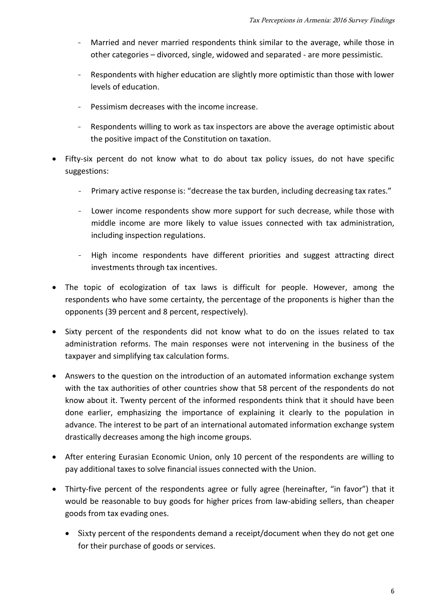- Married and never married respondents think similar to the average, while those in other categories – divorced, single, widowed and separated - are more pessimistic.
- Respondents with higher education are slightly more optimistic than those with lower levels of education.
- Pessimism decreases with the income increase.
- Respondents willing to work as tax inspectors are above the average optimistic about the positive impact of the Constitution on taxation.
- Fifty-six percent do not know what to do about tax policy issues, do not have specific suggestions:
	- Primary active response is: "decrease the tax burden, including decreasing tax rates."
	- Lower income respondents show more support for such decrease, while those with middle income are more likely to value issues connected with tax administration, including inspection regulations.
	- High income respondents have different priorities and suggest attracting direct investments through tax incentives.
- The topic of ecologization of tax laws is difficult for people. However, among the respondents who have some certainty, the percentage of the proponents is higher than the opponents (39 percent and 8 percent, respectively).
- Sixty percent of the respondents did not know what to do on the issues related to tax administration reforms. The main responses were not intervening in the business of the taxpayer and simplifying tax calculation forms.
- Answers to the question on the introduction of an automated information exchange system with the tax authorities of other countries show that 58 percent of the respondents do not know about it. Twenty percent of the informed respondents think that it should have been done earlier, emphasizing the importance of explaining it clearly to the population in advance. The interest to be part of an international automated information exchange system drastically decreases among the high income groups.
- After entering Eurasian Economic Union, only 10 percent of the respondents are willing to pay additional taxes to solve financial issues connected with the Union.
- Thirty-five percent of the respondents agree or fully agree (hereinafter, "in favor") that it would be reasonable to buy goods for higher prices from law-abiding sellers, than cheaper goods from tax evading ones.
	- Sixty percent of the respondents demand a receipt/document when they do not get one for their purchase of goods or services.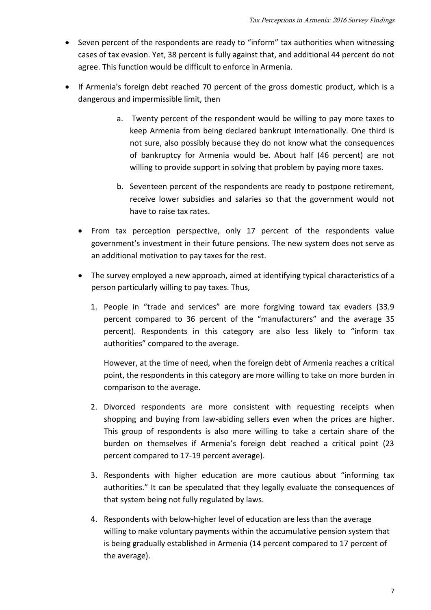- Seven percent of the respondents are ready to "inform" tax authorities when witnessing cases of tax evasion. Yet, 38 percent is fully against that, and additional 44 percent do not agree. This function would be difficult to enforce in Armenia.
- If Armenia's foreign debt reached 70 percent of the gross domestic product, which is a dangerous and impermissible limit, then
	- a. Twenty percent of the respondent would be willing to pay more taxes to keep Armenia from being declared bankrupt internationally. One third is not sure, also possibly because they do not know what the consequences of bankruptcy for Armenia would be. About half (46 percent) are not willing to provide support in solving that problem by paying more taxes.
	- b. Seventeen percent of the respondents are ready to postpone retirement, receive lower subsidies and salaries so that the government would not have to raise tax rates.
	- From tax perception perspective, only 17 percent of the respondents value government's investment in their future pensions. The new system does not serve as an additional motivation to pay taxes for the rest.
	- The survey employed a new approach, aimed at identifying typical characteristics of a person particularly willing to pay taxes. Thus,
		- 1. People in "trade and services" are more forgiving toward tax evaders (33.9 percent compared to 36 percent of the "manufacturers" and the average 35 percent). Respondents in this category are also less likely to "inform tax authorities" compared to the average.

However, at the time of need, when the foreign debt of Armenia reaches a critical point, the respondents in this category are more willing to take on more burden in comparison to the average.

- 2. Divorced respondents are more consistent with requesting receipts when shopping and buying from law-abiding sellers even when the prices are higher. This group of respondents is also more willing to take a certain share of the burden on themselves if Armenia's foreign debt reached a critical point (23 percent compared to 17-19 percent average).
- 3. Respondents with higher education are more cautious about "informing tax authorities." It can be speculated that they legally evaluate the consequences of that system being not fully regulated by laws.
- 4. Respondents with below-higher level of education are less than the average willing to make voluntary payments within the accumulative pension system that is being gradually established in Armenia (14 percent compared to 17 percent of the average).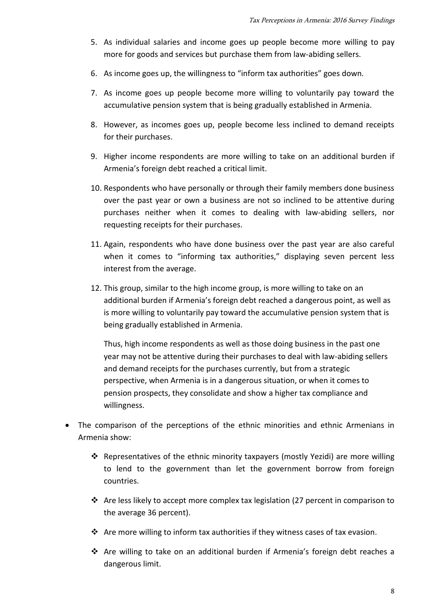- 5. As individual salaries and income goes up people become more willing to pay more for goods and services but purchase them from law-abiding sellers.
- 6. As income goes up, the willingness to "inform tax authorities" goes down.
- 7. As income goes up people become more willing to voluntarily pay toward the accumulative pension system that is being gradually established in Armenia.
- 8. However, as incomes goes up, people become less inclined to demand receipts for their purchases.
- 9. Higher income respondents are more willing to take on an additional burden if Armenia's foreign debt reached a critical limit.
- 10. Respondents who have personally or through their family members done business over the past year or own a business are not so inclined to be attentive during purchases neither when it comes to dealing with law-abiding sellers, nor requesting receipts for their purchases.
- 11. Again, respondents who have done business over the past year are also careful when it comes to "informing tax authorities," displaying seven percent less interest from the average.
- 12. This group, similar to the high income group, is more willing to take on an additional burden if Armenia's foreign debt reached a dangerous point, as well as is more willing to voluntarily pay toward the accumulative pension system that is being gradually established in Armenia.

Thus, high income respondents as well as those doing business in the past one year may not be attentive during their purchases to deal with law-abiding sellers and demand receipts for the purchases currently, but from a strategic perspective, when Armenia is in a dangerous situation, or when it comes to pension prospects, they consolidate and show a higher tax compliance and willingness.

- The comparison of the perceptions of the ethnic minorities and ethnic Armenians in Armenia show:
	- Representatives of the ethnic minority taxpayers (mostly Yezidi) are more willing to lend to the government than let the government borrow from foreign countries.
	- $\cdot \cdot$  Are less likely to accept more complex tax legislation (27 percent in comparison to the average 36 percent).
	- $\cdot \cdot$  Are more willing to inform tax authorities if they witness cases of tax evasion.
	- \* Are willing to take on an additional burden if Armenia's foreign debt reaches a dangerous limit.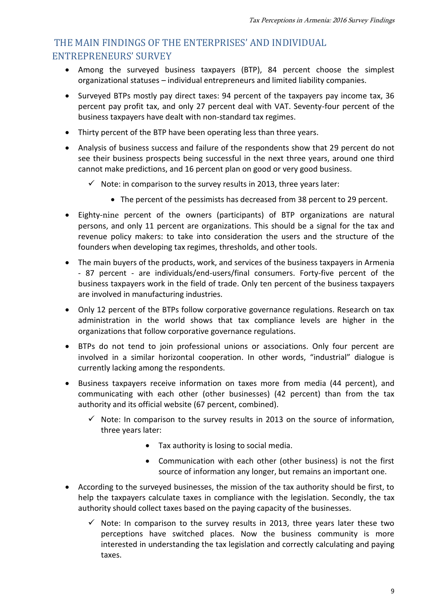# THE MAIN FINDINGS OF THE ENTERPRISES' AND INDIVIDUAL ENTREPRENEURS' SURVEY

- Among the surveyed business taxpayers (BTP), 84 percent choose the simplest organizational statuses – individual entrepreneurs and limited liability companies.
- Surveyed BTPs mostly pay direct taxes: 94 percent of the taxpayers pay income tax, 36 percent pay profit tax, and only 27 percent deal with VAT. Seventy-four percent of the business taxpayers have dealt with non-standard tax regimes.
- Thirty percent of the BTP have been operating less than three years.
- Analysis of business success and failure of the respondents show that 29 percent do not see their business prospects being successful in the next three years, around one third cannot make predictions, and 16 percent plan on good or very good business.
	- $\checkmark$  Note: in comparison to the survey results in 2013, three years later:
		- The percent of the pessimists has decreased from 38 percent to 29 percent.
- Eighty-nine percent of the owners (participants) of BTP organizations are natural persons, and only 11 percent are organizations. This should be a signal for the tax and revenue policy makers: to take into consideration the users and the structure of the founders when developing tax regimes, thresholds, and other tools.
- The main buyers of the products, work, and services of the business taxpayers in Armenia - 87 percent - are individuals/end-users/final consumers. Forty-five percent of the business taxpayers work in the field of trade. Only ten percent of the business taxpayers are involved in manufacturing industries.
- Only 12 percent of the BTPs follow corporative governance regulations. Research on tax administration in the world shows that tax compliance levels are higher in the organizations that follow corporative governance regulations.
- BTPs do not tend to join professional unions or associations. Only four percent are involved in a similar horizontal cooperation. In other words, "industrial" dialogue is currently lacking among the respondents.
- Business taxpayers receive information on taxes more from media (44 percent), and communicating with each other (other businesses) (42 percent) than from the tax authority and its official website (67 percent, combined).
	- $\checkmark$  Note: In comparison to the survey results in 2013 on the source of information, three years later:
		- Tax authority is losing to social media.
		- Communication with each other (other business) is not the first source of information any longer, but remains an important one.
- According to the surveyed businesses, the mission of the tax authority should be first, to help the taxpayers calculate taxes in compliance with the legislation. Secondly, the tax authority should collect taxes based on the paying capacity of the businesses.
	- $\checkmark$  Note: In comparison to the survey results in 2013, three years later these two perceptions have switched places. Now the business community is more interested in understanding the tax legislation and correctly calculating and paying taxes.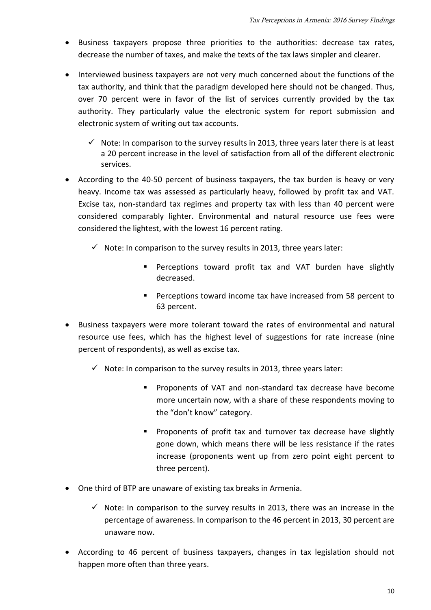- Business taxpayers propose three priorities to the authorities: decrease tax rates, decrease the number of taxes, and make the texts of the tax laws simpler and clearer.
- Interviewed business taxpayers are not very much concerned about the functions of the tax authority, and think that the paradigm developed here should not be changed. Thus, over 70 percent were in favor of the list of services currently provided by the tax authority. They particularly value the electronic system for report submission and electronic system of writing out tax accounts.
	- $\checkmark$  Note: In comparison to the survey results in 2013, three years later there is at least a 20 percent increase in the level of satisfaction from all of the different electronic services.
- According to the 40-50 percent of business taxpayers, the tax burden is heavy or very heavy. Income tax was assessed as particularly heavy, followed by profit tax and VAT. Excise tax, non-standard tax regimes and property tax with less than 40 percent were considered comparably lighter. Environmental and natural resource use fees were considered the lightest, with the lowest 16 percent rating.
	- $\checkmark$  Note: In comparison to the survey results in 2013, three years later:
		- **Perceptions toward profit tax and VAT burden have slightly** decreased.
		- **Perceptions toward income tax have increased from 58 percent to** 63 percent.
- Business taxpayers were more tolerant toward the rates of environmental and natural resource use fees, which has the highest level of suggestions for rate increase (nine percent of respondents), as well as excise tax.
	- $\checkmark$  Note: In comparison to the survey results in 2013, three years later:
		- Proponents of VAT and non-standard tax decrease have become more uncertain now, with a share of these respondents moving to the "don't know" category.
		- **Proponents of profit tax and turnover tax decrease have slightly** gone down, which means there will be less resistance if the rates increase (proponents went up from zero point eight percent to three percent).
- One third of BTP are unaware of existing tax breaks in Armenia.
	- $\checkmark$  Note: In comparison to the survey results in 2013, there was an increase in the percentage of awareness. In comparison to the 46 percent in 2013, 30 percent are unaware now.
- According to 46 percent of business taxpayers, changes in tax legislation should not happen more often than three years.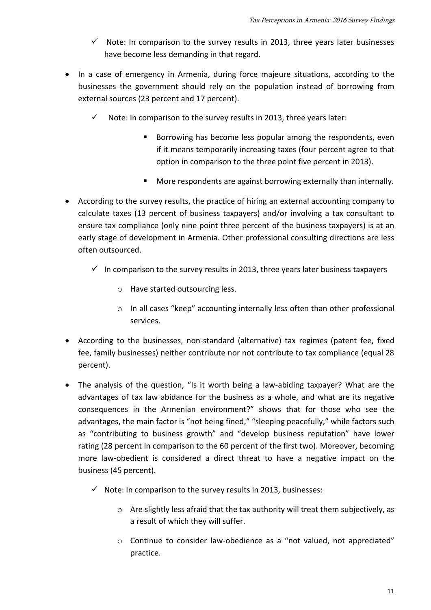- $\checkmark$  Note: In comparison to the survey results in 2013, three years later businesses have become less demanding in that regard.
- In a case of emergency in Armenia, during force majeure situations, according to the businesses the government should rely on the population instead of borrowing from external sources (23 percent and 17 percent).
	- $\checkmark$  Note: In comparison to the survey results in 2013, three years later:
		- **Borrowing has become less popular among the respondents, even** if it means temporarily increasing taxes (four percent agree to that option in comparison to the three point five percent in 2013).
		- More respondents are against borrowing externally than internally.
- According to the survey results, the practice of hiring an external accounting company to calculate taxes (13 percent of business taxpayers) and/or involving a tax consultant to ensure tax compliance (only nine point three percent of the business taxpayers) is at an early stage of development in Armenia. Other professional consulting directions are less often outsourced.
	- $\checkmark$  In comparison to the survey results in 2013, three years later business taxpayers
		- o Have started outsourcing less.
		- o In all cases "keep" accounting internally less often than other professional services.
- According to the businesses, non-standard (alternative) tax regimes (patent fee, fixed fee, family businesses) neither contribute nor not contribute to tax compliance (equal 28 percent).
- The analysis of the question, "Is it worth being a law-abiding taxpayer? What are the advantages of tax law abidance for the business as a whole, and what are its negative consequences in the Armenian environment?" shows that for those who see the advantages, the main factor is "not being fined," "sleeping peacefully," while factors such as "contributing to business growth" and "develop business reputation" have lower rating (28 percent in comparison to the 60 percent of the first two). Moreover, becoming more law-obedient is considered a direct threat to have a negative impact on the business (45 percent).
	- $\checkmark$  Note: In comparison to the survey results in 2013, businesses:
		- $\circ$  Are slightly less afraid that the tax authority will treat them subjectively, as a result of which they will suffer.
		- $\circ$  Continue to consider law-obedience as a "not valued, not appreciated" practice.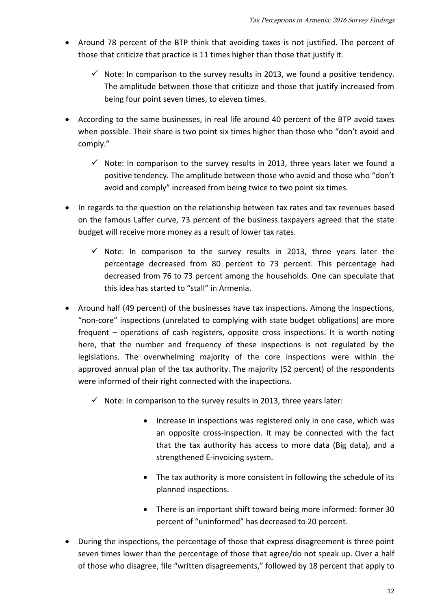- Around 78 percent of the BTP think that avoiding taxes is not justified. The percent of those that criticize that practice is 11 times higher than those that justify it.
	- $\checkmark$  Note: In comparison to the survey results in 2013, we found a positive tendency. The amplitude between those that criticize and those that justify increased from being four point seven times, to eleven times.
- According to the same businesses, in real life around 40 percent of the BTP avoid taxes when possible. Their share is two point six times higher than those who "don't avoid and comply."
	- $\checkmark$  Note: In comparison to the survey results in 2013, three years later we found a positive tendency. The amplitude between those who avoid and those who "don't avoid and comply" increased from being twice to two point six times.
- In regards to the question on the relationship between tax rates and tax revenues based on the famous Laffer curve, 73 percent of the business taxpayers agreed that the state budget will receive more money as a result of lower tax rates.
	- $\checkmark$  Note: In comparison to the survey results in 2013, three years later the percentage decreased from 80 percent to 73 percent. This percentage had decreased from 76 to 73 percent among the households. One can speculate that this idea has started to "stall" in Armenia.
- Around half (49 percent) of the businesses have tax inspections. Among the inspections, "non-core" inspections (unrelated to complying with state budget obligations) are more frequent – operations of cash registers, opposite cross inspections. It is worth noting here, that the number and frequency of these inspections is not regulated by the legislations. The overwhelming majority of the core inspections were within the approved annual plan of the tax authority. The majority (52 percent) of the respondents were informed of their right connected with the inspections.
	- $\checkmark$  Note: In comparison to the survey results in 2013, three years later:
		- Increase in inspections was registered only in one case, which was an opposite cross-inspection. It may be connected with the fact that the tax authority has access to more data (Big data), and a strengthened E-invoicing system.
		- The tax authority is more consistent in following the schedule of its planned inspections.
		- There is an important shift toward being more informed: former 30 percent of "uninformed" has decreased to 20 percent.
- During the inspections, the percentage of those that express disagreement is three point seven times lower than the percentage of those that agree/do not speak up. Over a half of those who disagree, file "written disagreements," followed by 18 percent that apply to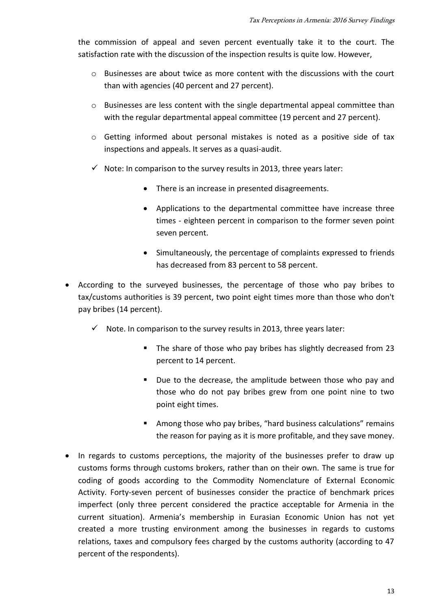the commission of appeal and seven percent eventually take it to the court. The satisfaction rate with the discussion of the inspection results is quite low. However,

- o Businesses are about twice as more content with the discussions with the court than with agencies (40 percent and 27 percent).
- $\circ$  Businesses are less content with the single departmental appeal committee than with the regular departmental appeal committee (19 percent and 27 percent).
- o Getting informed about personal mistakes is noted as a positive side of tax inspections and appeals. It serves as a quasi-audit.
- $\checkmark$  Note: In comparison to the survey results in 2013, three years later:
	- There is an increase in presented disagreements.
	- Applications to the departmental committee have increase three times - eighteen percent in comparison to the former seven point seven percent.
	- Simultaneously, the percentage of complaints expressed to friends has decreased from 83 percent to 58 percent.
- According to the surveyed businesses, the percentage of those who pay bribes to tax/customs authorities is 39 percent, two point eight times more than those who don't pay bribes (14 percent).
	- $\checkmark$  Note. In comparison to the survey results in 2013, three years later:
		- The share of those who pay bribes has slightly decreased from 23 percent to 14 percent.
		- Due to the decrease, the amplitude between those who pay and those who do not pay bribes grew from one point nine to two point eight times.
		- Among those who pay bribes, "hard business calculations" remains the reason for paying as it is more profitable, and they save money.
- In regards to customs perceptions, the majority of the businesses prefer to draw up customs forms through customs brokers, rather than on their own. The same is true for coding of goods according to the Commodity Nomenclature of External Economic Activity. Forty-seven percent of businesses consider the practice of benchmark prices imperfect (only three percent considered the practice acceptable for Armenia in the current situation). Armenia's membership in Eurasian Economic Union has not yet created a more trusting environment among the businesses in regards to customs relations, taxes and compulsory fees charged by the customs authority (according to 47 percent of the respondents).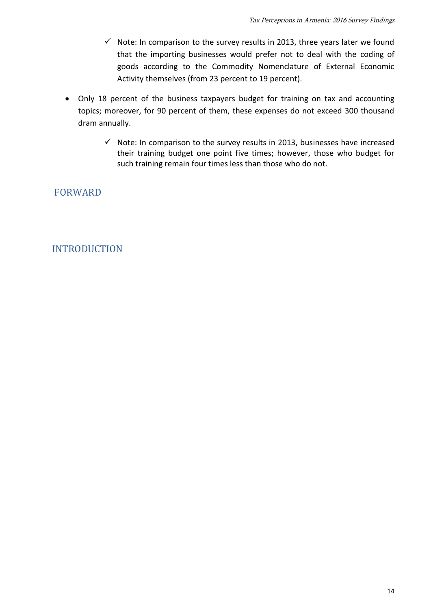- $\checkmark$  Note: In comparison to the survey results in 2013, three years later we found that the importing businesses would prefer not to deal with the coding of goods according to the Commodity Nomenclature of External Economic Activity themselves (from 23 percent to 19 percent).
- Only 18 percent of the business taxpayers budget for training on tax and accounting topics; moreover, for 90 percent of them, these expenses do not exceed 300 thousand dram annually.
	- $\checkmark$  Note: In comparison to the survey results in 2013, businesses have increased their training budget one point five times; however, those who budget for such training remain four times less than those who do not.

FORWARD

# INTRODUCTION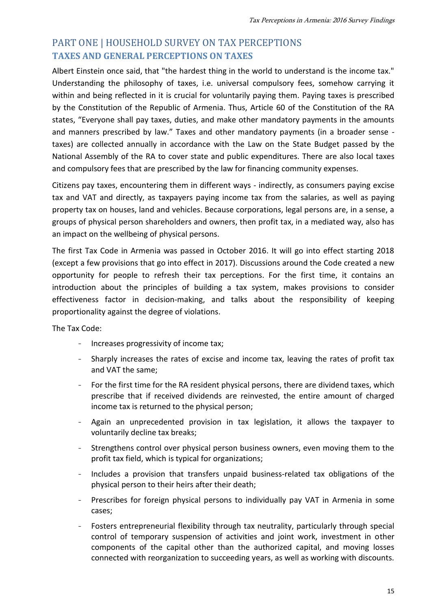# PART ONE | HOUSEHOLD SURVEY ON TAX PERCEPTIONS **TAXES AND GENERAL PERCEPTIONS ON TAXES**

Albert Einstein once said, that "the hardest thing in the world to understand is the income tax." Understanding the philosophy of taxes, i.e. universal compulsory fees, somehow carrying it within and being reflected in it is crucial for voluntarily paying them. Paying taxes is prescribed by the Constitution of the Republic of Armenia. Thus, Article 60 of the Constitution of the RA states, "Everyone shall pay taxes, duties, and make other mandatory payments in the amounts and manners prescribed by law." Taxes and other mandatory payments (in a broader sense taxes) are collected annually in accordance with the Law on the State Budget passed by the National Assembly of the RA to cover state and public expenditures. There are also local taxes and compulsory fees that are prescribed by the law for financing community expenses.

Citizens pay taxes, encountering them in different ways - indirectly, as consumers paying excise tax and VAT and directly, as taxpayers paying income tax from the salaries, as well as paying property tax on houses, land and vehicles. Because corporations, legal persons are, in a sense, a groups of physical person shareholders and owners, then profit tax, in a mediated way, also has an impact on the wellbeing of physical persons.

The first Tax Code in Armenia was passed in October 2016. It will go into effect starting 2018 (except a few provisions that go into effect in 2017). Discussions around the Code created a new opportunity for people to refresh their tax perceptions. For the first time, it contains an introduction about the principles of building a tax system, makes provisions to consider effectiveness factor in decision-making, and talks about the responsibility of keeping proportionality against the degree of violations.

The Tax Code:

- Increases progressivity of income tax;
- Sharply increases the rates of excise and income tax, leaving the rates of profit tax and VAT the same;
- For the first time for the RA resident physical persons, there are dividend taxes, which prescribe that if received dividends are reinvested, the entire amount of charged income tax is returned to the physical person;
- Again an unprecedented provision in tax legislation, it allows the taxpayer to voluntarily decline tax breaks;
- Strengthens control over physical person business owners, even moving them to the profit tax field, which is typical for organizations;
- Includes a provision that transfers unpaid business-related tax obligations of the physical person to their heirs after their death;
- Prescribes for foreign physical persons to individually pay VAT in Armenia in some cases;
- Fosters entrepreneurial flexibility through tax neutrality, particularly through special control of temporary suspension of activities and joint work, investment in other components of the capital other than the authorized capital, and moving losses connected with reorganization to succeeding years, as well as working with discounts.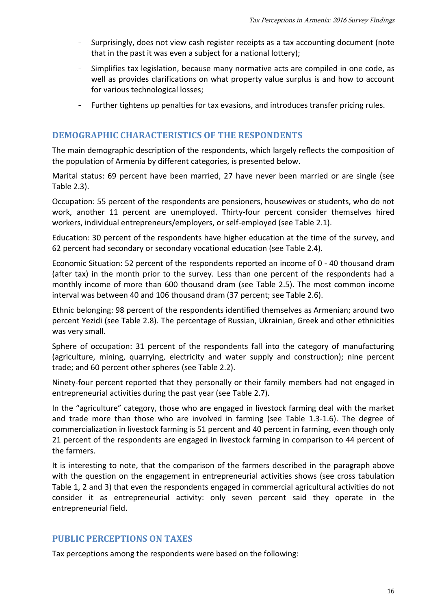- Surprisingly, does not view cash register receipts as a tax accounting document (note that in the past it was even a subject for a national lottery);
- Simplifies tax legislation, because many normative acts are compiled in one code, as well as provides clarifications on what property value surplus is and how to account for various technological losses;
- Further tightens up penalties for tax evasions, and introduces transfer pricing rules.

## **DEMOGRAPHIC CHARACTERISTICS OF THE RESPONDENTS**

The main demographic description of the respondents, which largely reflects the composition of the population of Armenia by different categories, is presented below.

Marital status: 69 percent have been married, 27 have never been married or are single (see Table 2.3).

Occupation: 55 percent of the respondents are pensioners, housewives or students, who do not work, another 11 percent are unemployed. Thirty-four percent consider themselves hired workers, individual entrepreneurs/employers, or self-employed (see Table 2.1).

Education: 30 percent of the respondents have higher education at the time of the survey, and 62 percent had secondary or secondary vocational education (see Table 2.4).

Economic Situation: 52 percent of the respondents reported an income of 0 - 40 thousand dram (after tax) in the month prior to the survey. Less than one percent of the respondents had a monthly income of more than 600 thousand dram (see Table 2.5). The most common income interval was between 40 and 106 thousand dram (37 percent; see Table 2.6).

Ethnic belonging: 98 percent of the respondents identified themselves as Armenian; around two percent Yezidi (see Table 2.8). The percentage of Russian, Ukrainian, Greek and other ethnicities was very small.

Sphere of occupation: 31 percent of the respondents fall into the category of manufacturing (agriculture, mining, quarrying, electricity and water supply and construction); nine percent trade; and 60 percent other spheres (see Table 2.2).

Ninety-four percent reported that they personally or their family members had not engaged in entrepreneurial activities during the past year (see Table 2.7).

In the "agriculture" category, those who are engaged in livestock farming deal with the market and trade more than those who are involved in farming (see Table 1.3-1.6). The degree of commercialization in livestock farming is 51 percent and 40 percent in farming, even though only 21 percent of the respondents are engaged in livestock farming in comparison to 44 percent of the farmers.

It is interesting to note, that the comparison of the farmers described in the paragraph above with the question on the engagement in entrepreneurial activities shows (see cross tabulation Table 1, 2 and 3) that even the respondents engaged in commercial agricultural activities do not consider it as entrepreneurial activity: only seven percent said they operate in the entrepreneurial field.

#### **PUBLIC PERCEPTIONS ON TAXES**

Tax perceptions among the respondents were based on the following: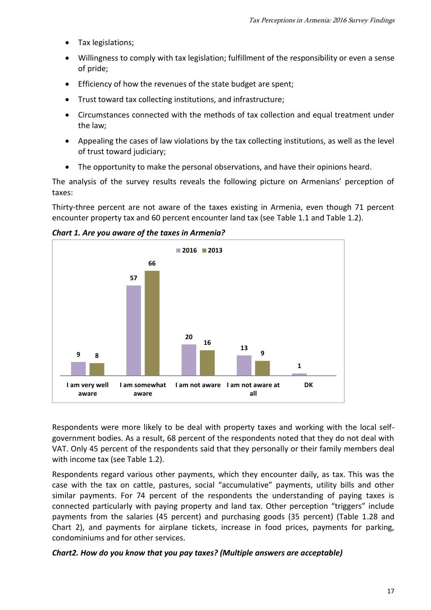- Tax legislations;
- Willingness to comply with tax legislation; fulfillment of the responsibility or even a sense of pride;
- Efficiency of how the revenues of the state budget are spent;
- Trust toward tax collecting institutions, and infrastructure;
- Circumstances connected with the methods of tax collection and equal treatment under the law;
- Appealing the cases of law violations by the tax collecting institutions, as well as the level of trust toward judiciary;
- The opportunity to make the personal observations, and have their opinions heard.

The analysis of the survey results reveals the following picture on Armenians' perception of taxes:

Thirty-three percent are not aware of the taxes existing in Armenia, even though 71 percent encounter property tax and 60 percent encounter land tax (see Table 1.1 and Table 1.2).

*Chart 1. Are you aware of the taxes in Armenia?*



Respondents were more likely to be deal with property taxes and working with the local selfgovernment bodies. As a result, 68 percent of the respondents noted that they do not deal with VAT. Only 45 percent of the respondents said that they personally or their family members deal with income tax (see Table 1.2).

Respondents regard various other payments, which they encounter daily, as tax. This was the case with the tax on cattle, pastures, social "accumulative" payments, utility bills and other similar payments. For 74 percent of the respondents the understanding of paying taxes is connected particularly with paying property and land tax. Other perception "triggers" include payments from the salaries (45 percent) and purchasing goods (35 percent) (Table 1.28 and Chart 2), and payments for airplane tickets, increase in food prices, payments for parking, condominiums and for other services.

#### *Chart2. How do you know that you pay taxes? (Multiple answers are acceptable)*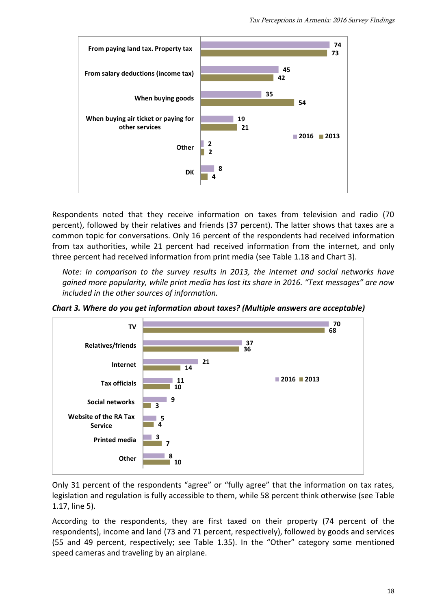

Respondents noted that they receive information on taxes from television and radio (70 percent), followed by their relatives and friends (37 percent). The latter shows that taxes are a common topic for conversations. Only 16 percent of the respondents had received information from tax authorities, while 21 percent had received information from the internet, and only three percent had received information from print media (see Table 1.18 and Chart 3).

*Note: In comparison to the survey results in 2013, the internet and social networks have gained more popularity, while print media has lost its share in 2016. "Text messages" are now included in the other sources of information.* 

*Chart 3. Where do you get information about taxes? (Multiple answers are acceptable)*



Only 31 percent of the respondents "agree" or "fully agree" that the information on tax rates, legislation and regulation is fully accessible to them, while 58 percent think otherwise (see Table 1.17, line 5).

According to the respondents, they are first taxed on their property (74 percent of the respondents), income and land (73 and 71 percent, respectively), followed by goods and services (55 and 49 percent, respectively; see Table 1.35). In the "Other" category some mentioned speed cameras and traveling by an airplane.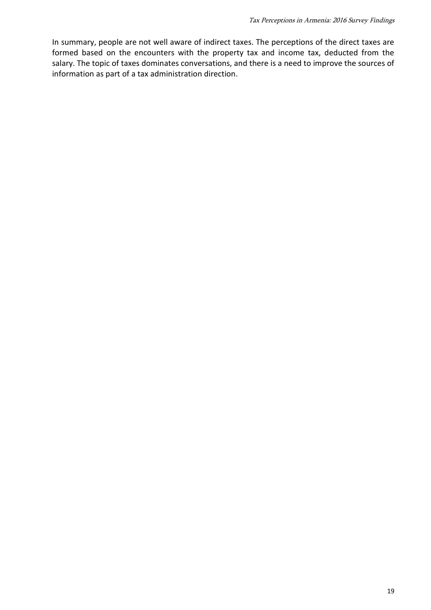In summary, people are not well aware of indirect taxes. The perceptions of the direct taxes are formed based on the encounters with the property tax and income tax, deducted from the salary. The topic of taxes dominates conversations, and there is a need to improve the sources of information as part of a tax administration direction.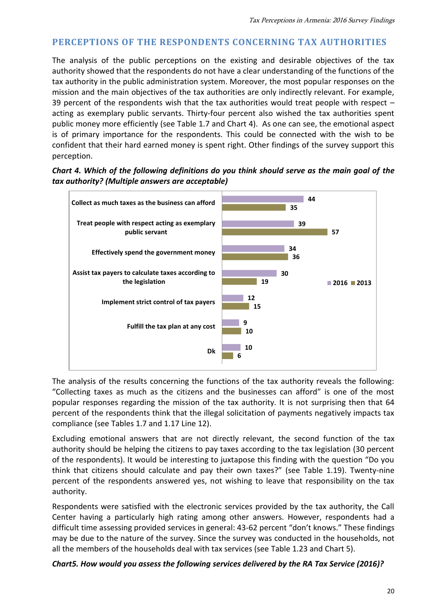# **PERCEPTIONS OF THE RESPONDENTS CONCERNING TAX AUTHORITIES**

The analysis of the public perceptions on the existing and desirable objectives of the tax authority showed that the respondents do not have a clear understanding of the functions of the tax authority in the public administration system. Moreover, the most popular responses on the mission and the main objectives of the tax authorities are only indirectly relevant. For example, 39 percent of the respondents wish that the tax authorities would treat people with respect – acting as exemplary public servants. Thirty-four percent also wished the tax authorities spent public money more efficiently (see Table 1.7 and Chart 4). As one can see, the emotional aspect is of primary importance for the respondents. This could be connected with the wish to be confident that their hard earned money is spent right. Other findings of the survey support this perception.

#### *Chart 4. Which of the following definitions do you think should serve as the main goal of the tax authority? (Multiple answers are acceptable)*



The analysis of the results concerning the functions of the tax authority reveals the following: "Collecting taxes as much as the citizens and the businesses can afford" is one of the most popular responses regarding the mission of the tax authority. It is not surprising then that 64 percent of the respondents think that the illegal solicitation of payments negatively impacts tax compliance (see Tables 1.7 and 1.17 Line 12).

Excluding emotional answers that are not directly relevant, the second function of the tax authority should be helping the citizens to pay taxes according to the tax legislation (30 percent of the respondents). It would be interesting to juxtapose this finding with the question "Do you think that citizens should calculate and pay their own taxes?" (see Table 1.19). Twenty-nine percent of the respondents answered yes, not wishing to leave that responsibility on the tax authority.

Respondents were satisfied with the electronic services provided by the tax authority, the Call Center having a particularly high rating among other answers. However, respondents had a difficult time assessing provided services in general: 43-62 percent "don't knows." These findings may be due to the nature of the survey. Since the survey was conducted in the households, not all the members of the households deal with tax services (see Table 1.23 and Chart 5).

#### *Chart5. How would you assess the following services delivered by the RA Tax Service (2016)?*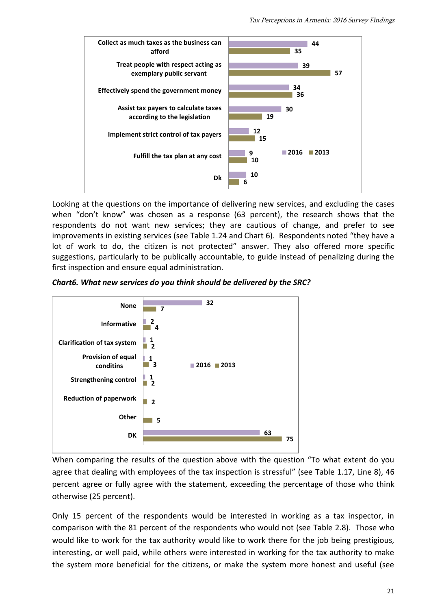

Looking at the questions on the importance of delivering new services, and excluding the cases when "don't know" was chosen as a response (63 percent), the research shows that the respondents do not want new services; they are cautious of change, and prefer to see improvements in existing services (see Table 1.24 and Chart 6). Respondents noted "they have a lot of work to do, the citizen is not protected" answer. They also offered more specific suggestions, particularly to be publically accountable, to guide instead of penalizing during the first inspection and ensure equal administration.

*Chart6. What new services do you think should be delivered by the SRC?*



When comparing the results of the question above with the question "To what extent do you agree that dealing with employees of the tax inspection is stressful" (see Table 1.17, Line 8), 46 percent agree or fully agree with the statement, exceeding the percentage of those who think otherwise (25 percent).

Only 15 percent of the respondents would be interested in working as a tax inspector, in comparison with the 81 percent of the respondents who would not (see Table 2.8). Those who would like to work for the tax authority would like to work there for the job being prestigious, interesting, or well paid, while others were interested in working for the tax authority to make the system more beneficial for the citizens, or make the system more honest and useful (see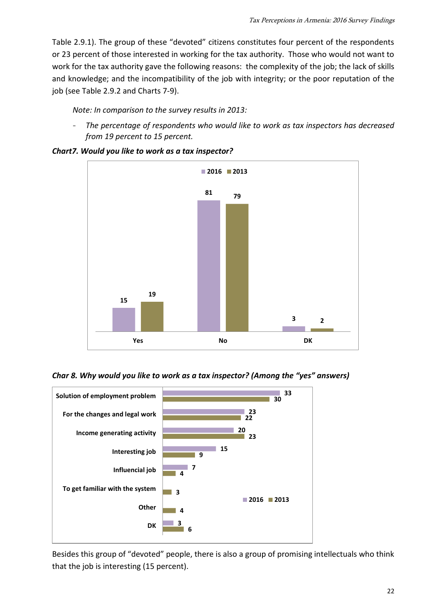Table 2.9.1). The group of these "devoted" citizens constitutes four percent of the respondents or 23 percent of those interested in working for the tax authority. Those who would not want to work for the tax authority gave the following reasons: the complexity of the job; the lack of skills and knowledge; and the incompatibility of the job with integrity; or the poor reputation of the job (see Table 2.9.2 and Charts 7-9).

*Note: In comparison to the survey results in 2013:*

- *The percentage of respondents who would like to work as tax inspectors has decreased from 19 percent to 15 percent.*



*Chart7. Would you like to work as a tax inspector?*

*Char 8. Why would you like to work as a tax inspector? (Among the "yes" answers)*



Besides this group of "devoted" people, there is also a group of promising intellectuals who think that the job is interesting (15 percent).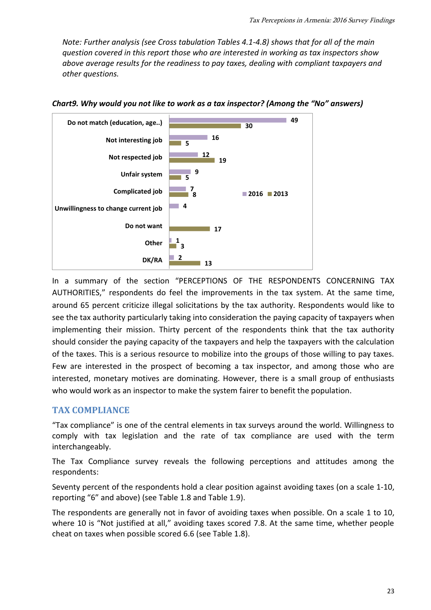*Note: Further analysis (see Cross tabulation Tables 4.1-4.8) shows that for all of the main question covered in this report those who are interested in working as tax inspectors show above average results for the readiness to pay taxes, dealing with compliant taxpayers and other questions.* 



*Chart9. Why would you not like to work as a tax inspector? (Among the "No" answers)*

In a summary of the section "PERCEPTIONS OF THE RESPONDENTS CONCERNING TAX AUTHORITIES," respondents do feel the improvements in the tax system. At the same time, around 65 percent criticize illegal solicitations by the tax authority. Respondents would like to see the tax authority particularly taking into consideration the paying capacity of taxpayers when implementing their mission. Thirty percent of the respondents think that the tax authority should consider the paying capacity of the taxpayers and help the taxpayers with the calculation of the taxes. This is a serious resource to mobilize into the groups of those willing to pay taxes. Few are interested in the prospect of becoming a tax inspector, and among those who are interested, monetary motives are dominating. However, there is a small group of enthusiasts who would work as an inspector to make the system fairer to benefit the population.

# **TAX COMPLIANCE**

"Tax compliance" is one of the central elements in tax surveys around the world. Willingness to comply with tax legislation and the rate of tax compliance are used with the term interchangeably.

The Tax Compliance survey reveals the following perceptions and attitudes among the respondents:

Seventy percent of the respondents hold a clear position against avoiding taxes (on a scale 1-10, reporting "6" and above) (see Table 1.8 and Table 1.9).

The respondents are generally not in favor of avoiding taxes when possible. On a scale 1 to 10, where 10 is "Not justified at all," avoiding taxes scored 7.8. At the same time, whether people cheat on taxes when possible scored 6.6 (see Table 1.8).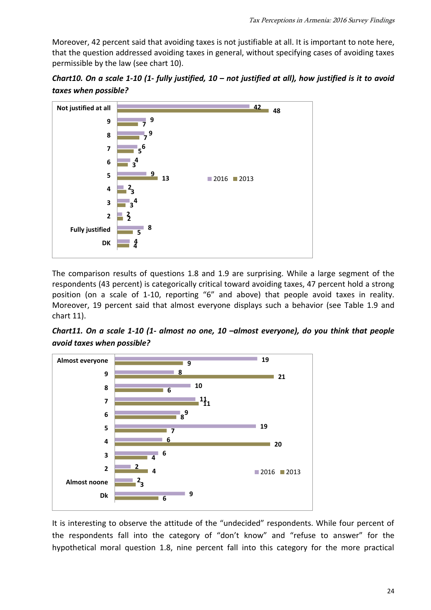Moreover, 42 percent said that avoiding taxes is not justifiable at all. It is important to note here, that the question addressed avoiding taxes in general, without specifying cases of avoiding taxes permissible by the law (see chart 10).





The comparison results of questions 1.8 and 1.9 are surprising. While a large segment of the respondents (43 percent) is categorically critical toward avoiding taxes, 47 percent hold a strong position (on a scale of 1-10, reporting "6" and above) that people avoid taxes in reality. Moreover, 19 percent said that almost everyone displays such a behavior (see Table 1.9 and chart 11).

*Chart11. On a scale 1-10 (1- almost no one, 10 –almost everyone), do you think that people avoid taxes when possible?*



It is interesting to observe the attitude of the "undecided" respondents. While four percent of the respondents fall into the category of "don't know" and "refuse to answer" for the hypothetical moral question 1.8, nine percent fall into this category for the more practical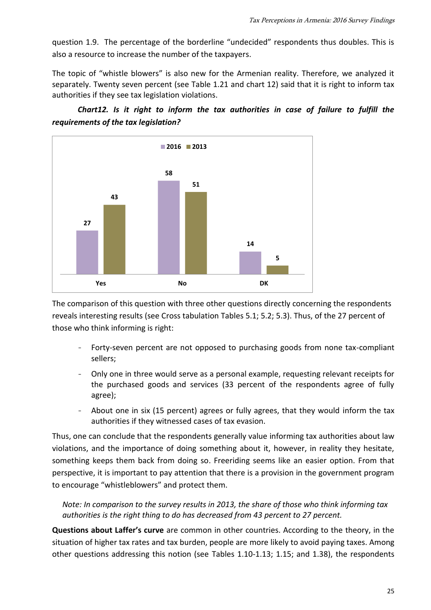question 1.9. The percentage of the borderline "undecided" respondents thus doubles. This is also a resource to increase the number of the taxpayers.

The topic of "whistle blowers" is also new for the Armenian reality. Therefore, we analyzed it separately. Twenty seven percent (see Table 1.21 and chart 12) said that it is right to inform tax authorities if they see tax legislation violations.





The comparison of this question with three other questions directly concerning the respondents reveals interesting results (see Cross tabulation Tables 5.1; 5.2; 5.3). Thus, of the 27 percent of those who think informing is right:

- Forty-seven percent are not opposed to purchasing goods from none tax-compliant sellers;
- Only one in three would serve as a personal example, requesting relevant receipts for the purchased goods and services (33 percent of the respondents agree of fully agree);
- About one in six (15 percent) agrees or fully agrees, that they would inform the tax authorities if they witnessed cases of tax evasion.

Thus, one can conclude that the respondents generally value informing tax authorities about law violations, and the importance of doing something about it, however, in reality they hesitate, something keeps them back from doing so. Freeriding seems like an easier option. From that perspective, it is important to pay attention that there is a provision in the government program to encourage "whistleblowers" and protect them.

*Note: In comparison to the survey results in 2013, the share of those who think informing tax authorities is the right thing to do has decreased from 43 percent to 27 percent.* 

**Questions about Laffer's curve** are common in other countries. According to the theory, in the situation of higher tax rates and tax burden, people are more likely to avoid paying taxes. Among other questions addressing this notion (see Tables 1.10-1.13; 1.15; and 1.38), the respondents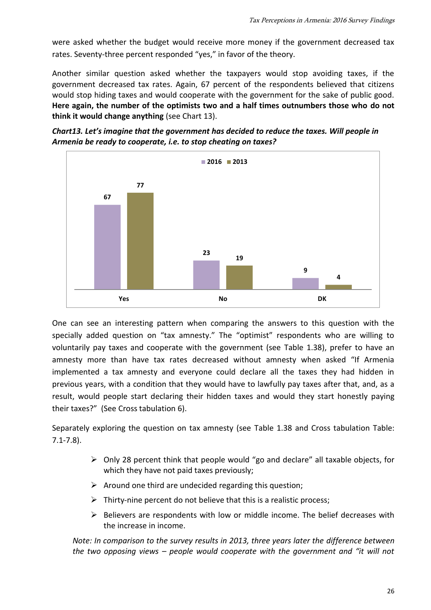were asked whether the budget would receive more money if the government decreased tax rates. Seventy-three percent responded "yes," in favor of the theory.

Another similar question asked whether the taxpayers would stop avoiding taxes, if the government decreased tax rates. Again, 67 percent of the respondents believed that citizens would stop hiding taxes and would cooperate with the government for the sake of public good. **Here again, the number of the optimists two and a half times outnumbers those who do not think it would change anything** (see Chart 13).





One can see an interesting pattern when comparing the answers to this question with the specially added question on "tax amnesty." The "optimist" respondents who are willing to voluntarily pay taxes and cooperate with the government (see Table 1.38), prefer to have an amnesty more than have tax rates decreased without amnesty when asked "If Armenia implemented a tax amnesty and everyone could declare all the taxes they had hidden in previous years, with a condition that they would have to lawfully pay taxes after that, and, as a result, would people start declaring their hidden taxes and would they start honestly paying their taxes?" (See Cross tabulation 6).

Separately exploring the question on tax amnesty (see Table 1.38 and Cross tabulation Table: 7.1-7.8).

- $\triangleright$  Only 28 percent think that people would "go and declare" all taxable objects, for which they have not paid taxes previously;
- $\triangleright$  Around one third are undecided regarding this question;
- $\triangleright$  Thirty-nine percent do not believe that this is a realistic process;
- $\triangleright$  Believers are respondents with low or middle income. The belief decreases with the increase in income.

*Note: In comparison to the survey results in 2013, three years later the difference between the two opposing views – people would cooperate with the government and "it will not*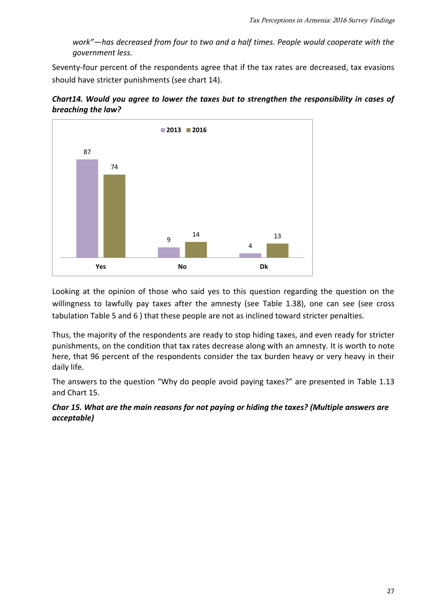*work"—has decreased from four to two and a half times. People would cooperate with the government less.* 

Seventy-four percent of the respondents agree that if the tax rates are decreased, tax evasions should have stricter punishments (see chart 14).



*Chart14. Would you agree to lower the taxes but to strengthen the responsibility in cases of breaching the law?*

Looking at the opinion of those who said yes to this question regarding the question on the willingness to lawfully pay taxes after the amnesty (see Table 1.38), one can see (see cross tabulation Table 5 and 6 ) that these people are not as inclined toward stricter penalties.

Thus, the majority of the respondents are ready to stop hiding taxes, and even ready for stricter punishments, on the condition that tax rates decrease along with an amnesty. It is worth to note here, that 96 percent of the respondents consider the tax burden heavy or very heavy in their daily life.

The answers to the question "Why do people avoid paying taxes?" are presented in Table 1.13 and Chart 15.

*Char 15. What are the main reasons for not paying or hiding the taxes? (Multiple answers are acceptable)*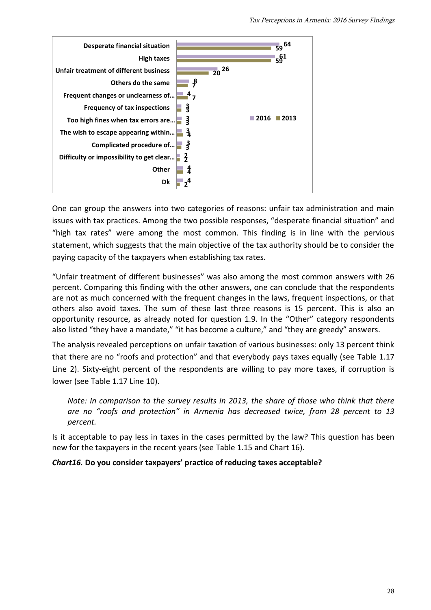

One can group the answers into two categories of reasons: unfair tax administration and main issues with tax practices. Among the two possible responses, "desperate financial situation" and "high tax rates" were among the most common. This finding is in line with the pervious statement, which suggests that the main objective of the tax authority should be to consider the paying capacity of the taxpayers when establishing tax rates.

"Unfair treatment of different businesses" was also among the most common answers with 26 percent. Comparing this finding with the other answers, one can conclude that the respondents are not as much concerned with the frequent changes in the laws, frequent inspections, or that others also avoid taxes. The sum of these last three reasons is 15 percent. This is also an opportunity resource, as already noted for question 1.9. In the "Other" category respondents also listed "they have a mandate," "it has become a culture," and "they are greedy" answers.

The analysis revealed perceptions on unfair taxation of various businesses: only 13 percent think that there are no "roofs and protection" and that everybody pays taxes equally (see Table 1.17 Line 2). Sixty-eight percent of the respondents are willing to pay more taxes, if corruption is lower (see Table 1.17 Line 10).

*Note: In comparison to the survey results in 2013, the share of those who think that there are no "roofs and protection" in Armenia has decreased twice, from 28 percent to 13 percent.* 

Is it acceptable to pay less in taxes in the cases permitted by the law? This question has been new for the taxpayers in the recent years (see Table 1.15 and Chart 16).

#### *Chart16.* **Do you consider taxpayers' practice of reducing taxes acceptable?**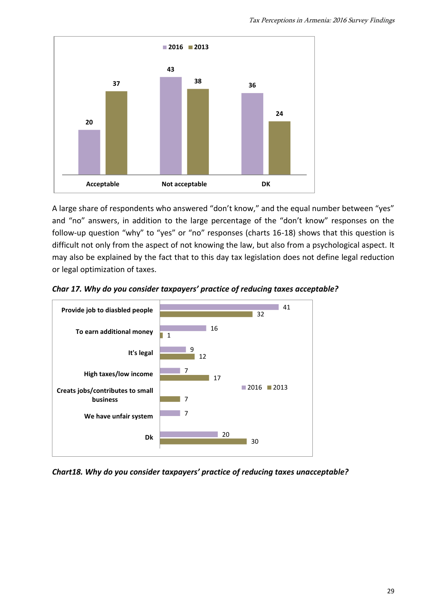

A large share of respondents who answered "don't know," and the equal number between "yes" and "no" answers, in addition to the large percentage of the "don't know" responses on the follow-up question "why" to "yes" or "no" responses (charts 16-18) shows that this question is difficult not only from the aspect of not knowing the law, but also from a psychological aspect. It may also be explained by the fact that to this day tax legislation does not define legal reduction or legal optimization of taxes.





*Chart18. Why do you consider taxpayers' practice of reducing taxes unacceptable?*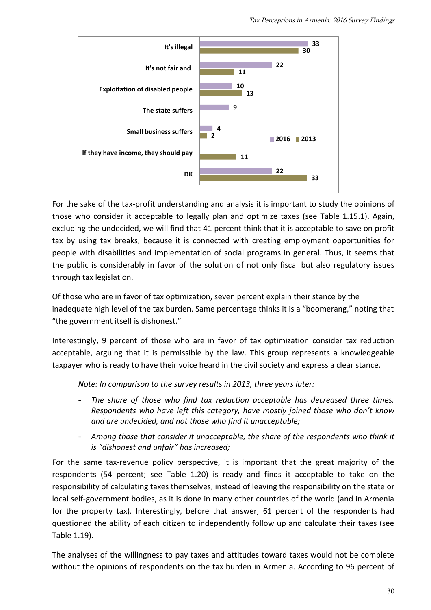

For the sake of the tax-profit understanding and analysis it is important to study the opinions of those who consider it acceptable to legally plan and optimize taxes (see Table 1.15.1). Again, excluding the undecided, we will find that 41 percent think that it is acceptable to save on profit tax by using tax breaks, because it is connected with creating employment opportunities for people with disabilities and implementation of social programs in general. Thus, it seems that the public is considerably in favor of the solution of not only fiscal but also regulatory issues through tax legislation.

Of those who are in favor of tax optimization, seven percent explain their stance by the inadequate high level of the tax burden. Same percentage thinks it is a "boomerang," noting that "the government itself is dishonest."

Interestingly, 9 percent of those who are in favor of tax optimization consider tax reduction acceptable, arguing that it is permissible by the law. This group represents a knowledgeable taxpayer who is ready to have their voice heard in the civil society and express a clear stance.

*Note: In comparison to the survey results in 2013, three years later:*

- The share of those who find tax reduction acceptable has decreased three times. *Respondents who have left this category, have mostly joined those who don't know and are undecided, and not those who find it unacceptable;*
- *Among those that consider it unacceptable, the share of the respondents who think it is "dishonest and unfair" has increased;*

For the same tax-revenue policy perspective, it is important that the great majority of the respondents (54 percent; see Table 1.20) is ready and finds it acceptable to take on the responsibility of calculating taxes themselves, instead of leaving the responsibility on the state or local self-government bodies, as it is done in many other countries of the world (and in Armenia for the property tax). Interestingly, before that answer, 61 percent of the respondents had questioned the ability of each citizen to independently follow up and calculate their taxes (see Table 1.19).

The analyses of the willingness to pay taxes and attitudes toward taxes would not be complete without the opinions of respondents on the tax burden in Armenia. According to 96 percent of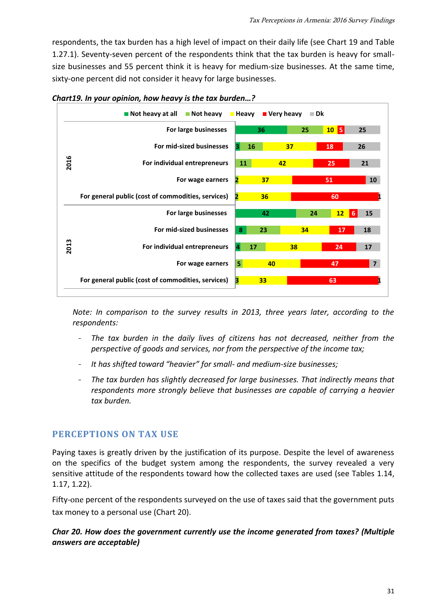respondents, the tax burden has a high level of impact on their daily life (see Chart 19 and Table 1.27.1). Seventy-seven percent of the respondents think that the tax burden is heavy for smallsize businesses and 55 percent think it is heavy for medium-size businesses. At the same time, sixty-one percent did not consider it heavy for large businesses.



*Chart19. In your opinion, how heavy is the tax burden…?* 

*Note: In comparison to the survey results in 2013, three years later, according to the respondents:* 

- The tax burden in the daily lives of citizens has not decreased, neither from the *perspective of goods and services, nor from the perspective of the income tax;*
- *It has shifted toward "heavier" for small- and medium-size businesses;*
- *The tax burden has slightly decreased for large businesses. That indirectly means that respondents more strongly believe that businesses are capable of carrying a heavier tax burden.*

# **PERCEPTIONS ON TAX USE**

Paying taxes is greatly driven by the justification of its purpose. Despite the level of awareness on the specifics of the budget system among the respondents, the survey revealed a very sensitive attitude of the respondents toward how the collected taxes are used (see Tables 1.14, 1.17, 1.22).

Fifty-one percent of the respondents surveyed on the use of taxes said that the government puts tax money to a personal use (Chart 20).

## *Char 20. How does the government currently use the income generated from taxes? (Multiple answers are acceptable)*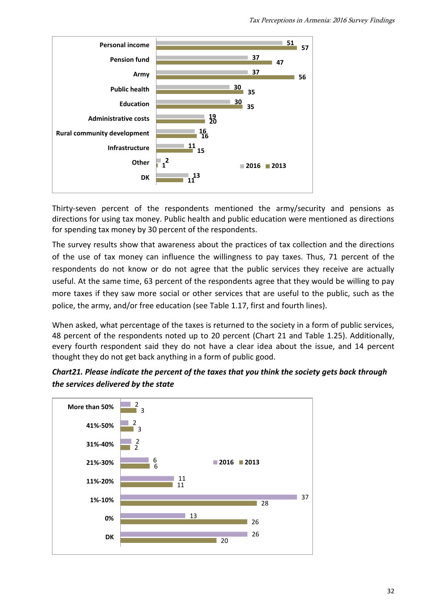

Thirty-seven percent of the respondents mentioned the army/security and pensions as directions for using tax money. Public health and public education were mentioned as directions for spending tax money by 30 percent of the respondents.

The survey results show that awareness about the practices of tax collection and the directions of the use of tax money can influence the willingness to pay taxes. Thus, 71 percent of the respondents do not know or do not agree that the public services they receive are actually useful. At the same time, 63 percent of the respondents agree that they would be willing to pay more taxes if they saw more social or other services that are useful to the public, such as the police, the army, and/or free education (see Table 1.17, first and fourth lines).

When asked, what percentage of the taxes is returned to the society in a form of public services, 48 percent of the respondents noted up to 20 percent (Chart 21 and Table 1.25). Additionally, every fourth respondent said they do not have a clear idea about the issue, and 14 percent thought they do not get back anything in a form of public good.



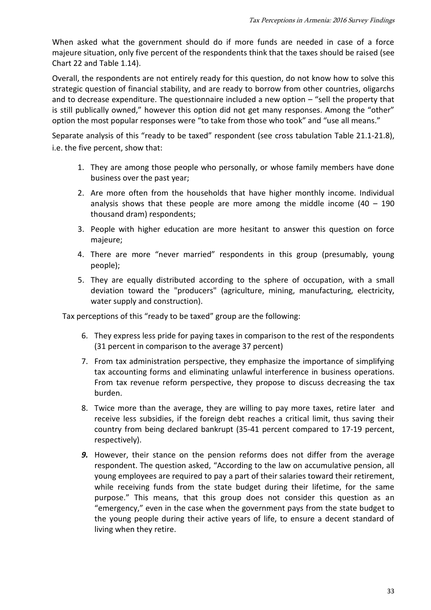When asked what the government should do if more funds are needed in case of a force majeure situation, only five percent of the respondents think that the taxes should be raised (see Chart 22 and Table 1.14).

Overall, the respondents are not entirely ready for this question, do not know how to solve this strategic question of financial stability, and are ready to borrow from other countries, oligarchs and to decrease expenditure. The questionnaire included a new option – "sell the property that is still publically owned," however this option did not get many responses. Among the "other" option the most popular responses were "to take from those who took" and "use all means."

Separate analysis of this "ready to be taxed" respondent (see cross tabulation Table 21.1-21.8), i.e. the five percent, show that:

- 1. They are among those people who personally, or whose family members have done business over the past year;
- 2. Are more often from the households that have higher monthly income. Individual analysis shows that these people are more among the middle income  $(40 - 190)$ thousand dram) respondents;
- 3. People with higher education are more hesitant to answer this question on force majeure;
- 4. There are more "never married" respondents in this group (presumably, young people);
- 5. They are equally distributed according to the sphere of occupation, with a small deviation toward the "producers" (agriculture, mining, manufacturing, electricity, water supply and construction).

Tax perceptions of this "ready to be taxed" group are the following:

- 6. They express less pride for paying taxes in comparison to the rest of the respondents (31 percent in comparison to the average 37 percent)
- 7. From tax administration perspective, they emphasize the importance of simplifying tax accounting forms and eliminating unlawful interference in business operations. From tax revenue reform perspective, they propose to discuss decreasing the tax burden.
- 8. Twice more than the average, they are willing to pay more taxes, retire later and receive less subsidies, if the foreign debt reaches a critical limit, thus saving their country from being declared bankrupt (35-41 percent compared to 17-19 percent, respectively).
- *9.* However, their stance on the pension reforms does not differ from the average respondent. The question asked, "According to the law on accumulative pension, all young employees are required to pay a part of their salaries toward their retirement, while receiving funds from the state budget during their lifetime, for the same purpose." This means, that this group does not consider this question as an "emergency," even in the case when the government pays from the state budget to the young people during their active years of life, to ensure a decent standard of living when they retire.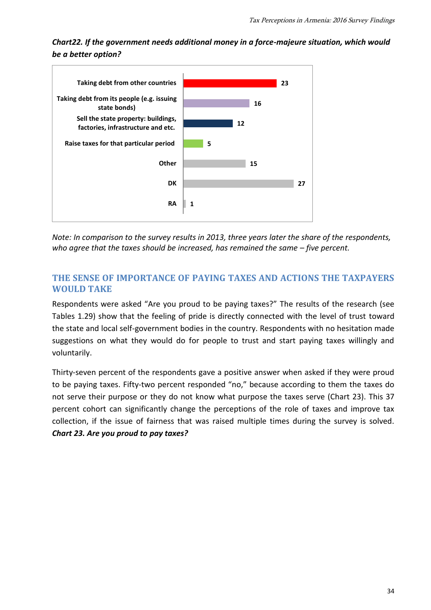*Chart22. If the government needs additional money in a force-majeure situation, which would be a better option?* 



*Note: In comparison to the survey results in 2013, three years later the share of the respondents, who agree that the taxes should be increased, has remained the same – five percent.* 

# **THE SENSE OF IMPORTANCE OF PAYING TAXES AND ACTIONS THE TAXPAYERS WOULD TAKE**

Respondents were asked "Are you proud to be paying taxes?" The results of the research (see Tables 1.29) show that the feeling of pride is directly connected with the level of trust toward the state and local self-government bodies in the country. Respondents with no hesitation made suggestions on what they would do for people to trust and start paying taxes willingly and voluntarily.

Thirty-seven percent of the respondents gave a positive answer when asked if they were proud to be paying taxes. Fifty-two percent responded "no," because according to them the taxes do not serve their purpose or they do not know what purpose the taxes serve (Chart 23). This 37 percent cohort can significantly change the perceptions of the role of taxes and improve tax collection, if the issue of fairness that was raised multiple times during the survey is solved. *Chart 23. Are you proud to pay taxes?*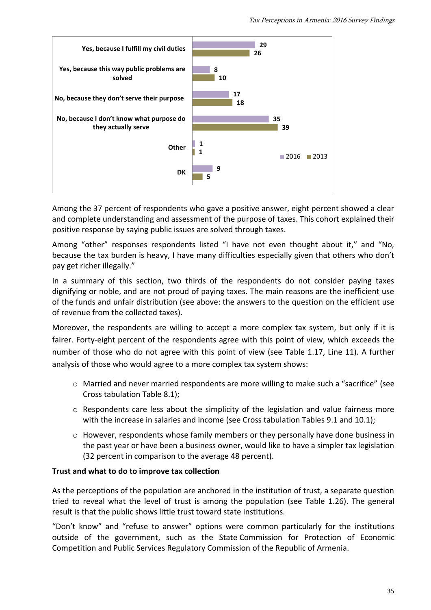

Among the 37 percent of respondents who gave a positive answer, eight percent showed a clear and complete understanding and assessment of the purpose of taxes. This cohort explained their positive response by saying public issues are solved through taxes.

Among "other" responses respondents listed "I have not even thought about it," and "No, because the tax burden is heavy, I have many difficulties especially given that others who don't pay get richer illegally."

In a summary of this section, two thirds of the respondents do not consider paying taxes dignifying or noble, and are not proud of paying taxes. The main reasons are the inefficient use of the funds and unfair distribution (see above: the answers to the question on the efficient use of revenue from the collected taxes).

Moreover, the respondents are willing to accept a more complex tax system, but only if it is fairer. Forty-eight percent of the respondents agree with this point of view, which exceeds the number of those who do not agree with this point of view (see Table 1.17, Line 11). A further analysis of those who would agree to a more complex tax system shows:

- o Married and never married respondents are more willing to make such a "sacrifice" (see Cross tabulation Table 8.1);
- $\circ$  Respondents care less about the simplicity of the legislation and value fairness more with the increase in salaries and income (see Cross tabulation Tables 9.1 and 10.1);
- o However, respondents whose family members or they personally have done business in the past year or have been a business owner, would like to have a simpler tax legislation (32 percent in comparison to the average 48 percent).

#### **Trust and what to do to improve tax collection**

As the perceptions of the population are anchored in the institution of trust, a separate question tried to reveal what the level of trust is among the population (see Table 1.26). The general result is that the public shows little trust toward state institutions.

"Don't know" and "refuse to answer" options were common particularly for the institutions outside of the government, such as the State Commission for Protection of Economic Competition and Public Services Regulatory Commission of the Republic of Armenia.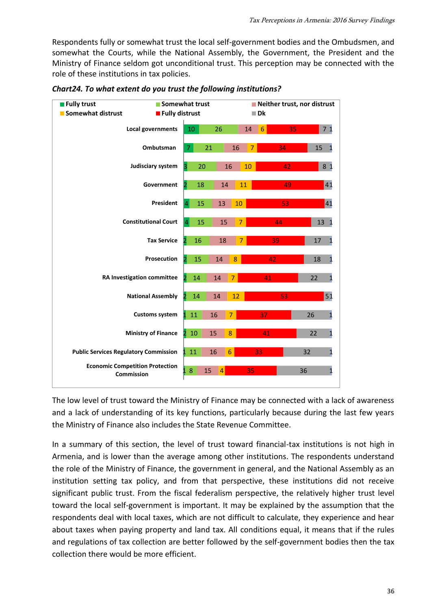Respondents fully or somewhat trust the local self-government bodies and the Ombudsmen, and somewhat the Courts, while the National Assembly, the Government, the President and the Ministry of Finance seldom got unconditional trust. This perception may be connected with the role of these institutions in tax policies.



*Chart24. To what extent do you trust the following institutions?*

The low level of trust toward the Ministry of Finance may be connected with a lack of awareness and a lack of understanding of its key functions, particularly because during the last few years the Ministry of Finance also includes the State Revenue Committee.

In a summary of this section, the level of trust toward financial-tax institutions is not high in Armenia, and is lower than the average among other institutions. The respondents understand the role of the Ministry of Finance, the government in general, and the National Assembly as an institution setting tax policy, and from that perspective, these institutions did not receive significant public trust. From the fiscal federalism perspective, the relatively higher trust level toward the local self-government is important. It may be explained by the assumption that the respondents deal with local taxes, which are not difficult to calculate, they experience and hear about taxes when paying property and land tax. All conditions equal, it means that if the rules and regulations of tax collection are better followed by the self-government bodies then the tax collection there would be more efficient.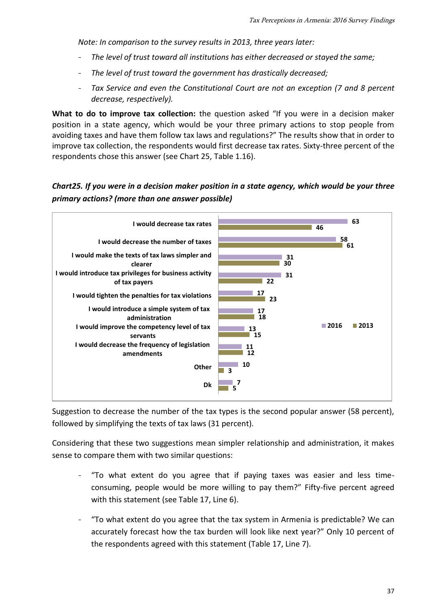*Note: In comparison to the survey results in 2013, three years later:*

- *The level of trust toward all institutions has either decreased or stayed the same;*
- *The level of trust toward the government has drastically decreased;*
- *Tax Service and even the Constitutional Court are not an exception (7 and 8 percent decrease, respectively).*

**What to do to improve tax collection:** the question asked "If you were in a decision maker position in a state agency, which would be your three primary actions to stop people from avoiding taxes and have them follow tax laws and regulations?" The results show that in order to improve tax collection, the respondents would first decrease tax rates. Sixty-three percent of the respondents chose this answer (see Chart 25, Table 1.16).

# *Chart25. If you were in a decision maker position in a state agency, which would be your three primary actions? (more than one answer possible)*



Suggestion to decrease the number of the tax types is the second popular answer (58 percent), followed by simplifying the texts of tax laws (31 percent).

Considering that these two suggestions mean simpler relationship and administration, it makes sense to compare them with two similar questions:

- "To what extent do you agree that if paying taxes was easier and less timeconsuming, people would be more willing to pay them?" Fifty-five percent agreed with this statement (see Table 17, Line 6).
- "To what extent do you agree that the tax system in Armenia is predictable? We can accurately forecast how the tax burden will look like next year?" Only 10 percent of the respondents agreed with this statement (Table 17, Line 7).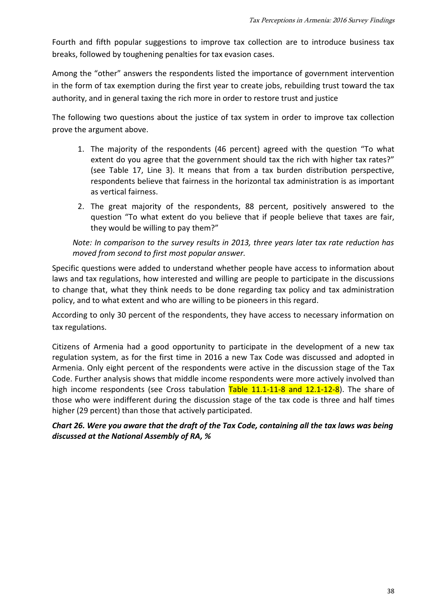Fourth and fifth popular suggestions to improve tax collection are to introduce business tax breaks, followed by toughening penalties for tax evasion cases.

Among the "other" answers the respondents listed the importance of government intervention in the form of tax exemption during the first year to create jobs, rebuilding trust toward the tax authority, and in general taxing the rich more in order to restore trust and justice

The following two questions about the justice of tax system in order to improve tax collection prove the argument above.

- 1. The majority of the respondents (46 percent) agreed with the question "To what extent do you agree that the government should tax the rich with higher tax rates?" (see Table 17, Line 3). It means that from a tax burden distribution perspective, respondents believe that fairness in the horizontal tax administration is as important as vertical fairness.
- 2. The great majority of the respondents, 88 percent, positively answered to the question "To what extent do you believe that if people believe that taxes are fair, they would be willing to pay them?"

*Note: In comparison to the survey results in 2013, three years later tax rate reduction has moved from second to first most popular answer.* 

Specific questions were added to understand whether people have access to information about laws and tax regulations, how interested and willing are people to participate in the discussions to change that, what they think needs to be done regarding tax policy and tax administration policy, and to what extent and who are willing to be pioneers in this regard.

According to only 30 percent of the respondents, they have access to necessary information on tax regulations.

Citizens of Armenia had a good opportunity to participate in the development of a new tax regulation system, as for the first time in 2016 a new Tax Code was discussed and adopted in Armenia. Only eight percent of the respondents were active in the discussion stage of the Tax Code. Further analysis shows that middle income respondents were more actively involved than high income respondents (see Cross tabulation  $Table 11.1-11-8$  and  $12.1-12-8$ ). The share of those who were indifferent during the discussion stage of the tax code is three and half times higher (29 percent) than those that actively participated.

## *Chart 26. Were you aware that the draft of the Tax Code, containing all the tax laws was being discussed at the National Assembly of RA, %*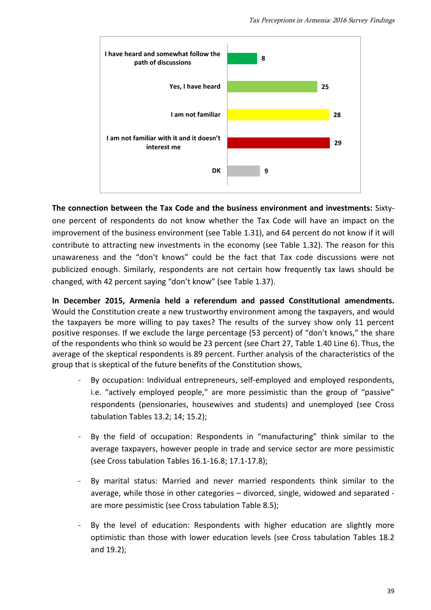

**The connection between the Tax Code and the business environment and investments:** Sixtyone percent of respondents do not know whether the Tax Code will have an impact on the improvement of the business environment (see Table 1.31), and 64 percent do not know if it will contribute to attracting new investments in the economy (see Table 1.32). The reason for this unawareness and the "don't knows" could be the fact that Tax code discussions were not publicized enough. Similarly, respondents are not certain how frequently tax laws should be changed, with 42 percent saying "don't know" (see Table 1.37).

**In December 2015, Armenia held a referendum and passed Constitutional amendments.**  Would the Constitution create a new trustworthy environment among the taxpayers, and would the taxpayers be more willing to pay taxes? The results of the survey show only 11 percent positive responses. If we exclude the large percentage (53 percent) of "don't knows," the share of the respondents who think so would be 23 percent (see Chart 27, Table 1.40 Line 6). Thus, the average of the skeptical respondents is 89 percent. Further analysis of the characteristics of the group that is skeptical of the future benefits of the Constitution shows,

- By occupation: Individual entrepreneurs, self-employed and employed respondents, i.e. "actively employed people," are more pessimistic than the group of "passive" respondents (pensionaries, housewives and students) and unemployed (see Cross tabulation Tables 13.2; 14; 15.2);
- By the field of occupation: Respondents in "manufacturing" think similar to the average taxpayers, however people in trade and service sector are more pessimistic (see Cross tabulation Tables 16.1-16.8; 17.1-17.8);
- By marital status: Married and never married respondents think similar to the average, while those in other categories – divorced, single, widowed and separated are more pessimistic (see Cross tabulation Table 8.5);
- By the level of education: Respondents with higher education are slightly more optimistic than those with lower education levels (see Cross tabulation Tables 18.2 and 19.2);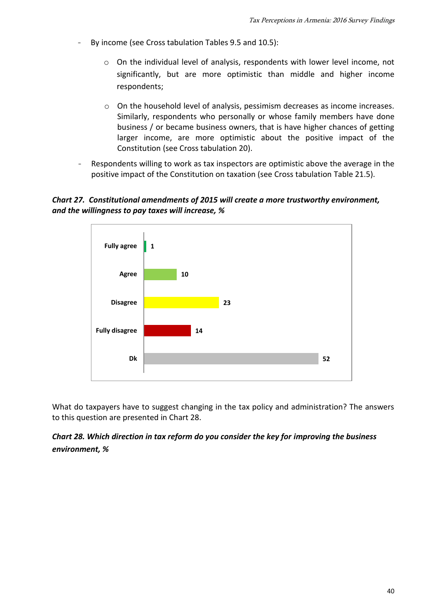- By income (see Cross tabulation Tables 9.5 and 10.5):
	- o On the individual level of analysis, respondents with lower level income, not significantly, but are more optimistic than middle and higher income respondents;
	- o On the household level of analysis, pessimism decreases as income increases. Similarly, respondents who personally or whose family members have done business / or became business owners, that is have higher chances of getting larger income, are more optimistic about the positive impact of the Constitution (see Cross tabulation 20).
- Respondents willing to work as tax inspectors are optimistic above the average in the positive impact of the Constitution on taxation (see Cross tabulation Table 21.5).

#### *Chart 27. Constitutional amendments of 2015 will create a more trustworthy environment, and the willingness to pay taxes will increase, %*



What do taxpayers have to suggest changing in the tax policy and administration? The answers to this question are presented in Chart 28.

# *Chart 28. Which direction in tax reform do you consider the key for improving the business environment, %*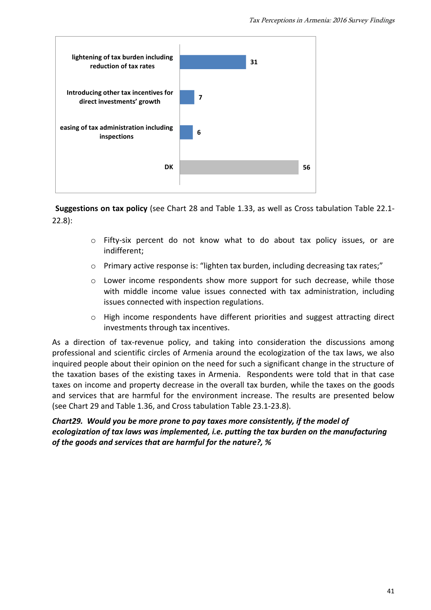

**Suggestions on tax policy** (see Chart 28 and Table 1.33, as well as Cross tabulation Table 22.1- 22.8):

- o Fifty-six percent do not know what to do about tax policy issues, or are indifferent;
- $\circ$  Primary active response is: "lighten tax burden, including decreasing tax rates;"
- o Lower income respondents show more support for such decrease, while those with middle income value issues connected with tax administration, including issues connected with inspection regulations.
- $\circ$  High income respondents have different priorities and suggest attracting direct investments through tax incentives.

As a direction of tax-revenue policy, and taking into consideration the discussions among professional and scientific circles of Armenia around the ecologization of the tax laws, we also inquired people about their opinion on the need for such a significant change in the structure of the taxation bases of the existing taxes in Armenia. Respondents were told that in that case taxes on income and property decrease in the overall tax burden, while the taxes on the goods and services that are harmful for the environment increase. The results are presented below (see Chart 29 and Table 1.36, and Cross tabulation Table 23.1-23.8).

## *Chart29. Would you be more prone to pay taxes more consistently, if the model of ecologization of tax laws was implemented, i.e. putting the tax burden on the manufacturing of the goods and services that are harmful for the nature?, %*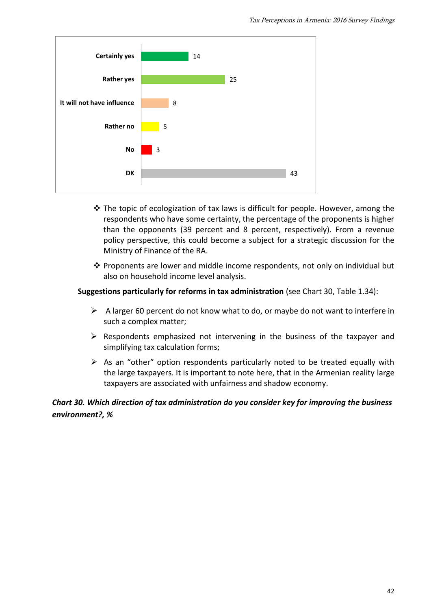

- $\cdot$  The topic of ecologization of tax laws is difficult for people. However, among the respondents who have some certainty, the percentage of the proponents is higher than the opponents (39 percent and 8 percent, respectively). From a revenue policy perspective, this could become a subject for a strategic discussion for the Ministry of Finance of the RA.
- $\cdot \cdot$  Proponents are lower and middle income respondents, not only on individual but also on household income level analysis.

#### **Suggestions particularly for reforms in tax administration** (see Chart 30, Table 1.34):

- $\triangleright$  A larger 60 percent do not know what to do, or maybe do not want to interfere in such a complex matter;
- $\triangleright$  Respondents emphasized not intervening in the business of the taxpayer and simplifying tax calculation forms;
- $\triangleright$  As an "other" option respondents particularly noted to be treated equally with the large taxpayers. It is important to note here, that in the Armenian reality large taxpayers are associated with unfairness and shadow economy.

# *Chart 30. Which direction of tax administration do you consider key for improving the business environment?, %*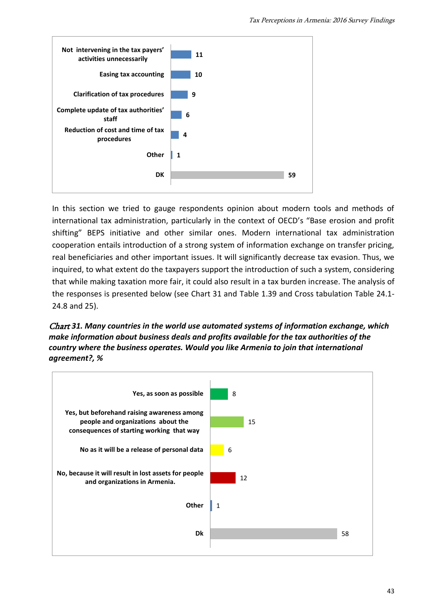

In this section we tried to gauge respondents opinion about modern tools and methods of international tax administration, particularly in the context of OECD's "Base erosion and profit shifting" BEPS initiative and other similar ones. Modern international tax administration cooperation entails introduction of a strong system of information exchange on transfer pricing, real beneficiaries and other important issues. It will significantly decrease tax evasion. Thus, we inquired, to what extent do the taxpayers support the introduction of such a system, considering that while making taxation more fair, it could also result in a tax burden increase. The analysis of the responses is presented below (see Chart 31 and Table 1.39 and Cross tabulation Table 24.1- 24.8 and 25).

Chart *31. Many countries in the world use automated systems of information exchange, which make information about business deals and profits available for the tax authorities of the country where the business operates. Would you like Armenia to join that international agreement?, %*

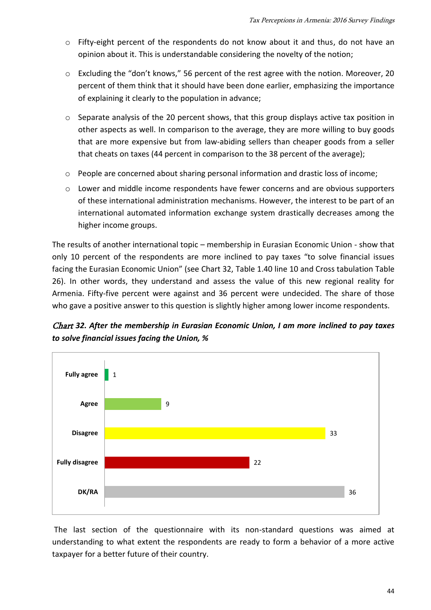- o Fifty-eight percent of the respondents do not know about it and thus, do not have an opinion about it. This is understandable considering the novelty of the notion;
- o Excluding the "don't knows," 56 percent of the rest agree with the notion. Moreover, 20 percent of them think that it should have been done earlier, emphasizing the importance of explaining it clearly to the population in advance;
- $\circ$  Separate analysis of the 20 percent shows, that this group displays active tax position in other aspects as well. In comparison to the average, they are more willing to buy goods that are more expensive but from law-abiding sellers than cheaper goods from a seller that cheats on taxes (44 percent in comparison to the 38 percent of the average);
- o People are concerned about sharing personal information and drastic loss of income;
- $\circ$  Lower and middle income respondents have fewer concerns and are obvious supporters of these international administration mechanisms. However, the interest to be part of an international automated information exchange system drastically decreases among the higher income groups.

The results of another international topic – membership in Eurasian Economic Union - show that only 10 percent of the respondents are more inclined to pay taxes "to solve financial issues facing the Eurasian Economic Union" (see Chart 32, Table 1.40 line 10 and Cross tabulation Table 26). In other words, they understand and assess the value of this new regional reality for Armenia. Fifty-five percent were against and 36 percent were undecided. The share of those who gave a positive answer to this question is slightly higher among lower income respondents.

Chart *32. After the membership in Eurasian Economic Union, I am more inclined to pay taxes to solve financial issues facing the Union, %*



The last section of the questionnaire with its non-standard questions was aimed at understanding to what extent the respondents are ready to form a behavior of a more active taxpayer for a better future of their country.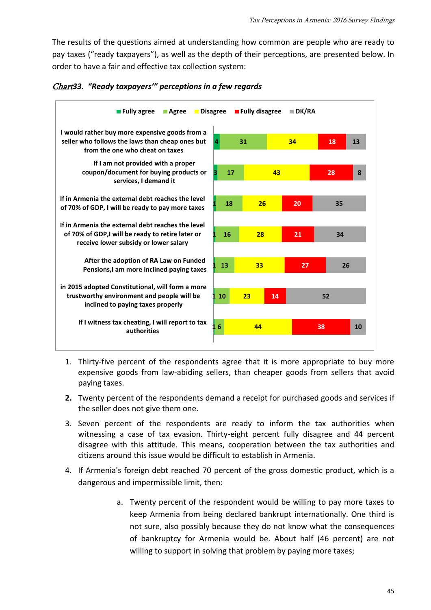The results of the questions aimed at understanding how common are people who are ready to pay taxes ("ready taxpayers"), as well as the depth of their perceptions, are presented below. In order to have a fair and effective tax collection system:



Chart*33. "Ready taxpayers'" perceptions in a few regards*

- 1. Thirty-five percent of the respondents agree that it is more appropriate to buy more expensive goods from law-abiding sellers, than cheaper goods from sellers that avoid paying taxes.
- **2.** Twenty percent of the respondents demand a receipt for purchased goods and services if the seller does not give them one.
- 3. Seven percent of the respondents are ready to inform the tax authorities when witnessing a case of tax evasion. Thirty-eight percent fully disagree and 44 percent disagree with this attitude. This means, cooperation between the tax authorities and citizens around this issue would be difficult to establish in Armenia.
- 4. If Armenia's foreign debt reached 70 percent of the gross domestic product, which is a dangerous and impermissible limit, then:
	- a. Twenty percent of the respondent would be willing to pay more taxes to keep Armenia from being declared bankrupt internationally. One third is not sure, also possibly because they do not know what the consequences of bankruptcy for Armenia would be. About half (46 percent) are not willing to support in solving that problem by paying more taxes;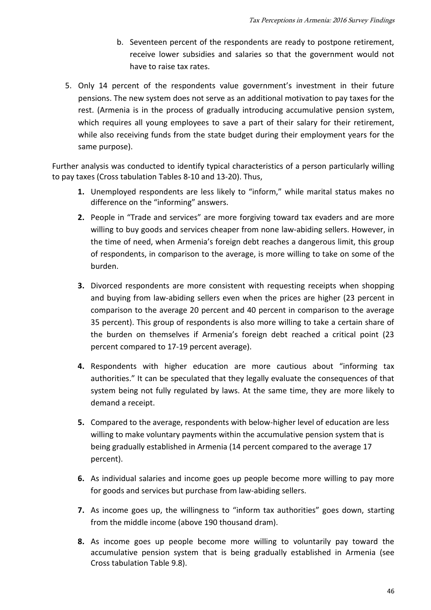- b. Seventeen percent of the respondents are ready to postpone retirement, receive lower subsidies and salaries so that the government would not have to raise tax rates.
- 5. Only 14 percent of the respondents value government's investment in their future pensions. The new system does not serve as an additional motivation to pay taxes for the rest. (Armenia is in the process of gradually introducing accumulative pension system, which requires all young employees to save a part of their salary for their retirement, while also receiving funds from the state budget during their employment years for the same purpose).

Further analysis was conducted to identify typical characteristics of a person particularly willing to pay taxes (Cross tabulation Tables 8-10 and 13-20). Thus,

- **1.** Unemployed respondents are less likely to "inform," while marital status makes no difference on the "informing" answers.
- **2.** People in "Trade and services" are more forgiving toward tax evaders and are more willing to buy goods and services cheaper from none law-abiding sellers. However, in the time of need, when Armenia's foreign debt reaches a dangerous limit, this group of respondents, in comparison to the average, is more willing to take on some of the burden.
- **3.** Divorced respondents are more consistent with requesting receipts when shopping and buying from law-abiding sellers even when the prices are higher (23 percent in comparison to the average 20 percent and 40 percent in comparison to the average 35 percent). This group of respondents is also more willing to take a certain share of the burden on themselves if Armenia's foreign debt reached a critical point (23 percent compared to 17-19 percent average).
- **4.** Respondents with higher education are more cautious about "informing tax authorities." It can be speculated that they legally evaluate the consequences of that system being not fully regulated by laws. At the same time, they are more likely to demand a receipt.
- **5.** Compared to the average, respondents with below-higher level of education are less willing to make voluntary payments within the accumulative pension system that is being gradually established in Armenia (14 percent compared to the average 17 percent).
- **6.** As individual salaries and income goes up people become more willing to pay more for goods and services but purchase from law-abiding sellers.
- **7.** As income goes up, the willingness to "inform tax authorities" goes down, starting from the middle income (above 190 thousand dram).
- **8.** As income goes up people become more willing to voluntarily pay toward the accumulative pension system that is being gradually established in Armenia (see Cross tabulation Table 9.8).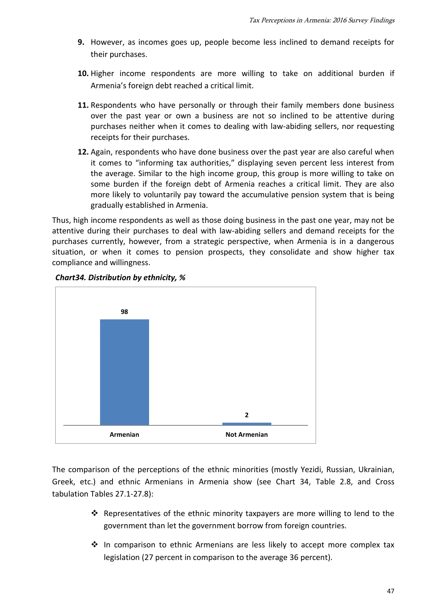- **9.** However, as incomes goes up, people become less inclined to demand receipts for their purchases.
- **10.** Higher income respondents are more willing to take on additional burden if Armenia's foreign debt reached a critical limit.
- **11.** Respondents who have personally or through their family members done business over the past year or own a business are not so inclined to be attentive during purchases neither when it comes to dealing with law-abiding sellers, nor requesting receipts for their purchases.
- **12.** Again, respondents who have done business over the past year are also careful when it comes to "informing tax authorities," displaying seven percent less interest from the average. Similar to the high income group, this group is more willing to take on some burden if the foreign debt of Armenia reaches a critical limit. They are also more likely to voluntarily pay toward the accumulative pension system that is being gradually established in Armenia.

Thus, high income respondents as well as those doing business in the past one year, may not be attentive during their purchases to deal with law-abiding sellers and demand receipts for the purchases currently, however, from a strategic perspective, when Armenia is in a dangerous situation, or when it comes to pension prospects, they consolidate and show higher tax compliance and willingness.



#### *Chart34. Distribution by ethnicity, %*

The comparison of the perceptions of the ethnic minorities (mostly Yezidi, Russian, Ukrainian, Greek, etc.) and ethnic Armenians in Armenia show (see Chart 34, Table 2.8, and Cross tabulation Tables 27.1-27.8):

- \* Representatives of the ethnic minority taxpayers are more willing to lend to the government than let the government borrow from foreign countries.
- $\div$  In comparison to ethnic Armenians are less likely to accept more complex tax legislation (27 percent in comparison to the average 36 percent).